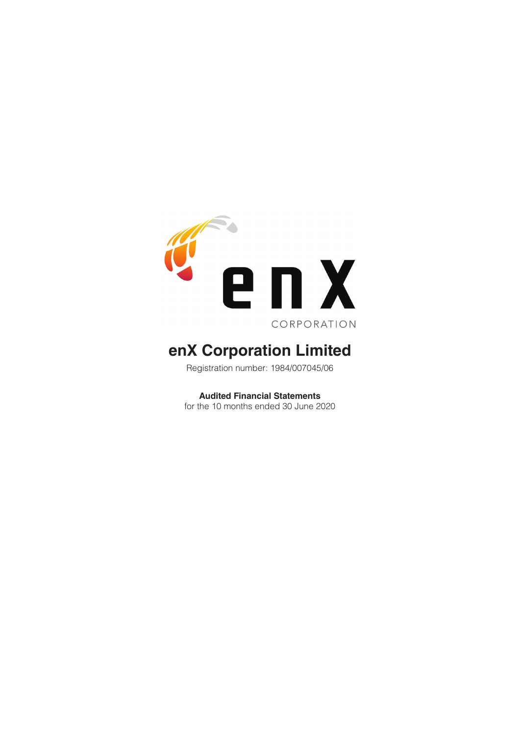

# **enX Corporation Limited**

Registration number: 1984/007045/06

**Audited Financial Statements**

for the 10 months ended 30 June 2020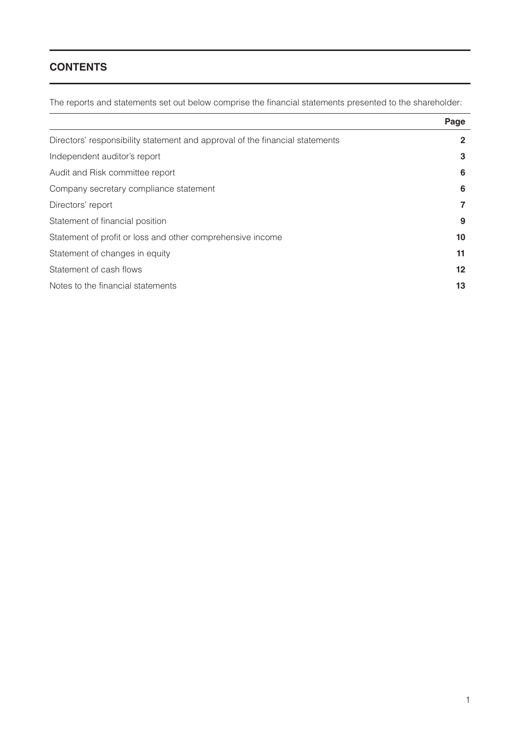# **CONTENTS**

The reports and statements set out below comprise the financial statements presented to the shareholder:

|                                                                              | Page |
|------------------------------------------------------------------------------|------|
| Directors' responsibility statement and approval of the financial statements | 2    |
| Independent auditor's report                                                 | 3    |
| Audit and Risk committee report                                              | 6    |
| Company secretary compliance statement                                       | 6    |
| Directors' report                                                            |      |
| Statement of financial position                                              | 9    |
| Statement of profit or loss and other comprehensive income                   | 10   |
| Statement of changes in equity                                               | 11   |
| Statement of cash flows                                                      | 12   |
| Notes to the financial statements                                            | 13   |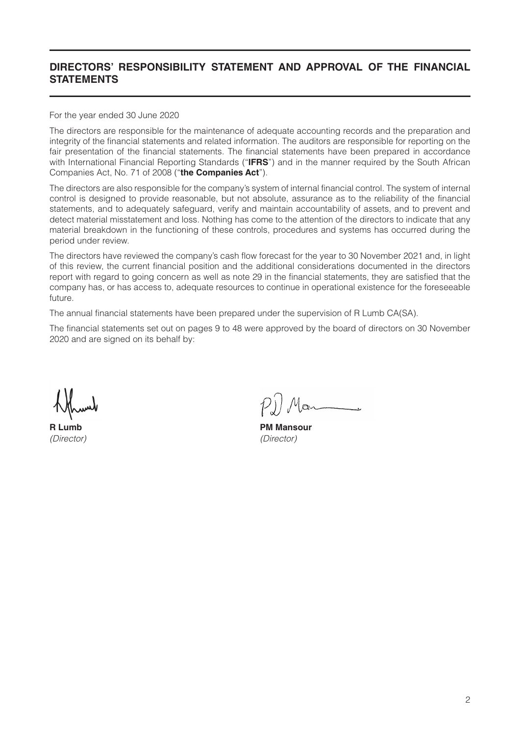# **DIRECTORS' RESPONSIBILITY STATEMENT AND APPROVAL OF THE FINANCIAL STATEMENTS**

For the year ended 30 June 2020

The directors are responsible for the maintenance of adequate accounting records and the preparation and integrity of the financial statements and related information. The auditors are responsible for reporting on the fair presentation of the financial statements. The financial statements have been prepared in accordance with International Financial Reporting Standards ("**IFRS**") and in the manner required by the South African Companies Act, No. 71 of 2008 ("**the Companies Act**").

The directors are also responsible for the company's system of internal financial control. The system of internal control is designed to provide reasonable, but not absolute, assurance as to the reliability of the financial statements, and to adequately safeguard, verify and maintain accountability of assets, and to prevent and detect material misstatement and loss. Nothing has come to the attention of the directors to indicate that any material breakdown in the functioning of these controls, procedures and systems has occurred during the period under review.

The directors have reviewed the company's cash flow forecast for the year to 30 November 2021 and, in light of this review, the current financial position and the additional considerations documented in the directors report with regard to going concern as well as note 29 in the financial statements, they are satisfied that the company has, or has access to, adequate resources to continue in operational existence for the foreseeable future.

The annual financial statements have been prepared under the supervision of R Lumb CA(SA).

The financial statements set out on pages 9 to 48 were approved by the board of directors on 30 November 2020 and are signed on its behalf by:

*(Director) (Director)*

Man

**R Lumb PM Mansour**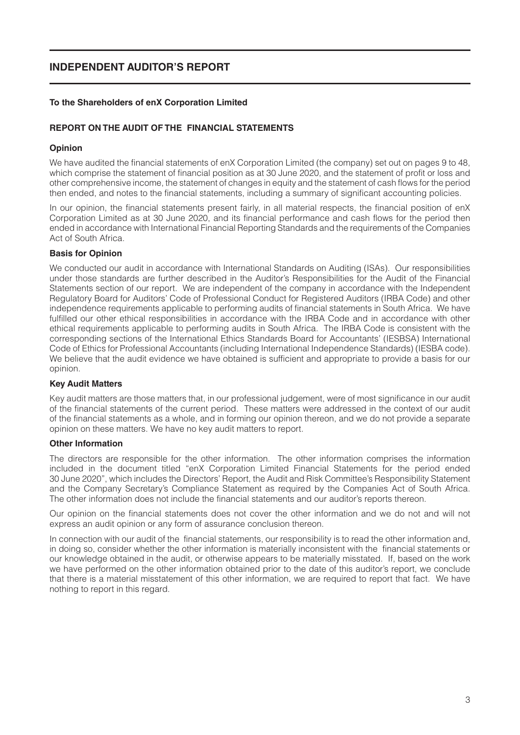# **INDEPENDENT AUDITOR'S REPORT**

# **To the Shareholders of enX Corporation Limited**

# **REPORT ON THE AUDIT OF THE FINANCIAL STATEMENTS**

### **Opinion**

We have audited the financial statements of enX Corporation Limited (the company) set out on pages 9 to 48, which comprise the statement of financial position as at 30 June 2020, and the statement of profit or loss and other comprehensive income, the statement of changes in equity and the statement of cash flows for the period then ended, and notes to the financial statements, including a summary of significant accounting policies.

In our opinion, the financial statements present fairly, in all material respects, the financial position of enX Corporation Limited as at 30 June 2020, and its financial performance and cash flows for the period then ended in accordance with International Financial Reporting Standards and the requirements of the Companies Act of South Africa.

# **Basis for Opinion**

We conducted our audit in accordance with International Standards on Auditing (ISAs). Our responsibilities under those standards are further described in the Auditor's Responsibilities for the Audit of the Financial Statements section of our report. We are independent of the company in accordance with the Independent Regulatory Board for Auditors' Code of Professional Conduct for Registered Auditors (IRBA Code) and other independence requirements applicable to performing audits of financial statements in South Africa. We have fulfilled our other ethical responsibilities in accordance with the IRBA Code and in accordance with other ethical requirements applicable to performing audits in South Africa. The IRBA Code is consistent with the corresponding sections of the International Ethics Standards Board for Accountants' (IESBSA) International Code of Ethics for Professional Accountants (including International Independence Standards) (IESBA code). We believe that the audit evidence we have obtained is sufficient and appropriate to provide a basis for our opinion.

### **Key Audit Matters**

Key audit matters are those matters that, in our professional judgement, were of most significance in our audit of the financial statements of the current period. These matters were addressed in the context of our audit of the financial statements as a whole, and in forming our opinion thereon, and we do not provide a separate opinion on these matters. We have no key audit matters to report.

### **Other Information**

The directors are responsible for the other information. The other information comprises the information included in the document titled "enX Corporation Limited Financial Statements for the period ended 30 June 2020", which includes the Directors' Report, the Audit and Risk Committee's Responsibility Statement and the Company Secretary's Compliance Statement as required by the Companies Act of South Africa. The other information does not include the financial statements and our auditor's reports thereon.

Our opinion on the financial statements does not cover the other information and we do not and will not express an audit opinion or any form of assurance conclusion thereon.

In connection with our audit of the financial statements, our responsibility is to read the other information and, in doing so, consider whether the other information is materially inconsistent with the financial statements or our knowledge obtained in the audit, or otherwise appears to be materially misstated. If, based on the work we have performed on the other information obtained prior to the date of this auditor's report, we conclude that there is a material misstatement of this other information, we are required to report that fact. We have nothing to report in this regard.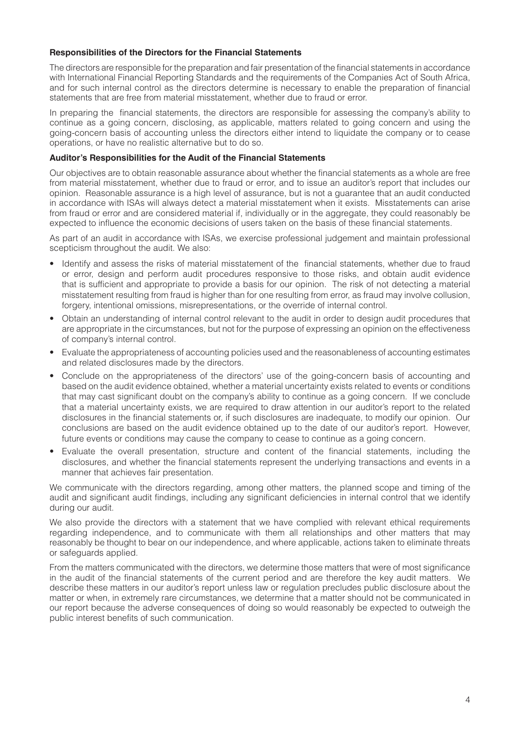### **Responsibilities of the Directors for the Financial Statements**

The directors are responsible for the preparation and fair presentation of the financial statements in accordance with International Financial Reporting Standards and the requirements of the Companies Act of South Africa, and for such internal control as the directors determine is necessary to enable the preparation of financial statements that are free from material misstatement, whether due to fraud or error.

In preparing the financial statements, the directors are responsible for assessing the company's ability to continue as a going concern, disclosing, as applicable, matters related to going concern and using the going-concern basis of accounting unless the directors either intend to liquidate the company or to cease operations, or have no realistic alternative but to do so.

### **Auditor's Responsibilities for the Audit of the Financial Statements**

Our objectives are to obtain reasonable assurance about whether the financial statements as a whole are free from material misstatement, whether due to fraud or error, and to issue an auditor's report that includes our opinion. Reasonable assurance is a high level of assurance, but is not a guarantee that an audit conducted in accordance with ISAs will always detect a material misstatement when it exists. Misstatements can arise from fraud or error and are considered material if, individually or in the aggregate, they could reasonably be expected to influence the economic decisions of users taken on the basis of these financial statements.

As part of an audit in accordance with ISAs, we exercise professional judgement and maintain professional scepticism throughout the audit. We also:

- Identify and assess the risks of material misstatement of the financial statements, whether due to fraud or error, design and perform audit procedures responsive to those risks, and obtain audit evidence that is sufficient and appropriate to provide a basis for our opinion. The risk of not detecting a material misstatement resulting from fraud is higher than for one resulting from error, as fraud may involve collusion, forgery, intentional omissions, misrepresentations, or the override of internal control.
- Obtain an understanding of internal control relevant to the audit in order to design audit procedures that are appropriate in the circumstances, but not for the purpose of expressing an opinion on the effectiveness of company's internal control.
- Evaluate the appropriateness of accounting policies used and the reasonableness of accounting estimates and related disclosures made by the directors.
- Conclude on the appropriateness of the directors' use of the going-concern basis of accounting and based on the audit evidence obtained, whether a material uncertainty exists related to events or conditions that may cast significant doubt on the company's ability to continue as a going concern. If we conclude that a material uncertainty exists, we are required to draw attention in our auditor's report to the related disclosures in the financial statements or, if such disclosures are inadequate, to modify our opinion. Our conclusions are based on the audit evidence obtained up to the date of our auditor's report. However, future events or conditions may cause the company to cease to continue as a going concern.
- Evaluate the overall presentation, structure and content of the financial statements, including the disclosures, and whether the financial statements represent the underlying transactions and events in a manner that achieves fair presentation.

We communicate with the directors regarding, among other matters, the planned scope and timing of the audit and significant audit findings, including any significant deficiencies in internal control that we identify during our audit.

We also provide the directors with a statement that we have complied with relevant ethical requirements regarding independence, and to communicate with them all relationships and other matters that may reasonably be thought to bear on our independence, and where applicable, actions taken to eliminate threats or safeguards applied.

From the matters communicated with the directors, we determine those matters that were of most significance in the audit of the financial statements of the current period and are therefore the key audit matters. We describe these matters in our auditor's report unless law or regulation precludes public disclosure about the matter or when, in extremely rare circumstances, we determine that a matter should not be communicated in our report because the adverse consequences of doing so would reasonably be expected to outweigh the public interest benefits of such communication.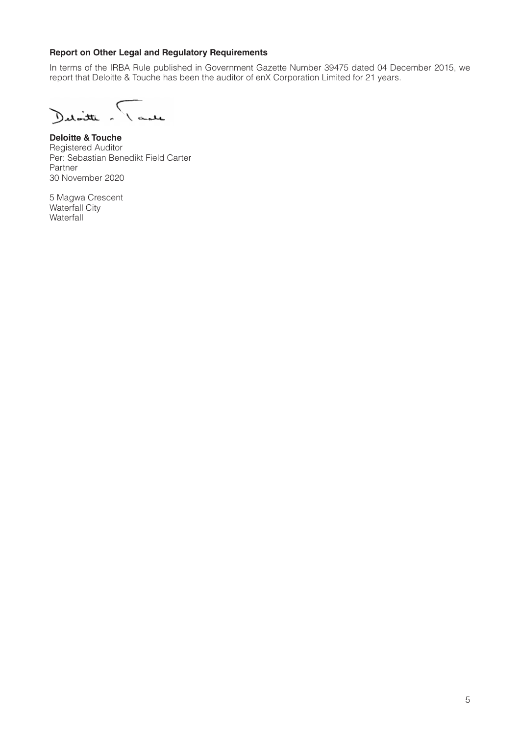# **Report on Other Legal and Regulatory Requirements**

In terms of the IRBA Rule published in Government Gazette Number 39475 dated 04 December 2015, we report that Deloitte & Touche has been the auditor of enX Corporation Limited for 21 years.

Detailte à l'aute

**Deloitte & Touche**  Registered Auditor Per: Sebastian Benedikt Field Carter Partner 30 November 2020

5 Magwa Crescent Waterfall City Waterfall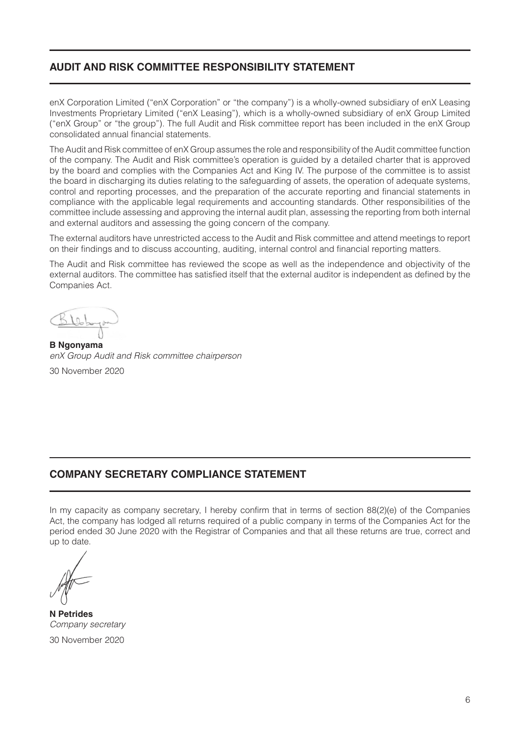# **AUDIT AND RISK COMMITTEE RESPONSIBILITY STATEMENT**

enX Corporation Limited ("enX Corporation" or "the company") is a wholly-owned subsidiary of enX Leasing Investments Proprietary Limited ("enX Leasing"), which is a wholly-owned subsidiary of enX Group Limited ("enX Group" or "the group"). The full Audit and Risk committee report has been included in the enX Group consolidated annual financial statements.

The Audit and Risk committee of enX Group assumes the role and responsibility of the Audit committee function of the company. The Audit and Risk committee's operation is guided by a detailed charter that is approved by the board and complies with the Companies Act and King IV. The purpose of the committee is to assist the board in discharging its duties relating to the safeguarding of assets, the operation of adequate systems, control and reporting processes, and the preparation of the accurate reporting and financial statements in compliance with the applicable legal requirements and accounting standards. Other responsibilities of the committee include assessing and approving the internal audit plan, assessing the reporting from both internal and external auditors and assessing the going concern of the company.

The external auditors have unrestricted access to the Audit and Risk committee and attend meetings to report on their findings and to discuss accounting, auditing, internal control and financial reporting matters.

The Audit and Risk committee has reviewed the scope as well as the independence and objectivity of the external auditors. The committee has satisfied itself that the external auditor is independent as defined by the Companies Act.

**B Ngonyama** *enX Group Audit and Risk committee chairperson* 30 November 2020

# **COMPANY SECRETARY COMPLIANCE STATEMENT**

In my capacity as company secretary, I hereby confirm that in terms of section 88(2)(e) of the Companies Act, the company has lodged all returns required of a public company in terms of the Companies Act for the period ended 30 June 2020 with the Registrar of Companies and that all these returns are true, correct and up to date.

**N Petrides** *Company secretary* 30 November 2020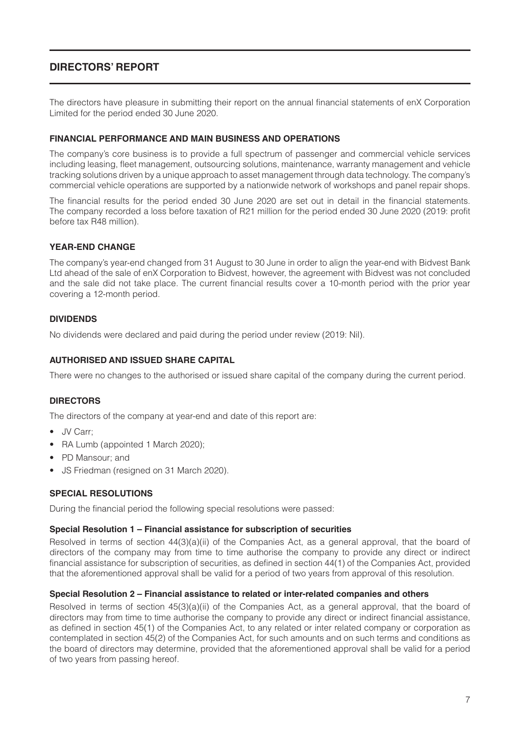# **DIRECTORS' REPORT**

The directors have pleasure in submitting their report on the annual financial statements of enX Corporation Limited for the period ended 30 June 2020.

# **FINANCIAL PERFORMANCE AND MAIN BUSINESS AND OPERATIONS**

The company's core business is to provide a full spectrum of passenger and commercial vehicle services including leasing, fleet management, outsourcing solutions, maintenance, warranty management and vehicle tracking solutions driven by a unique approach to asset management through data technology. The company's commercial vehicle operations are supported by a nationwide network of workshops and panel repair shops.

The financial results for the period ended 30 June 2020 are set out in detail in the financial statements. The company recorded a loss before taxation of R21 million for the period ended 30 June 2020 (2019: profit before tax R48 million).

# **YEAR-END CHANGE**

The company's year-end changed from 31 August to 30 June in order to align the year-end with Bidvest Bank Ltd ahead of the sale of enX Corporation to Bidvest, however, the agreement with Bidvest was not concluded and the sale did not take place. The current financial results cover a 10-month period with the prior year covering a 12-month period.

# **DIVIDENDS**

No dividends were declared and paid during the period under review (2019: Nil).

### **AUTHORISED AND ISSUED SHARE CAPITAL**

There were no changes to the authorised or issued share capital of the company during the current period.

# **DIRECTORS**

The directors of the company at year-end and date of this report are:

- JV Carr;
- RA Lumb (appointed 1 March 2020);
- PD Mansour; and
- JS Friedman (resigned on 31 March 2020).

# **SPECIAL RESOLUTIONS**

During the financial period the following special resolutions were passed:

### **Special Resolution 1 – Financial assistance for subscription of securities**

Resolved in terms of section 44(3)(a)(ii) of the Companies Act, as a general approval, that the board of directors of the company may from time to time authorise the company to provide any direct or indirect financial assistance for subscription of securities, as defined in section 44(1) of the Companies Act, provided that the aforementioned approval shall be valid for a period of two years from approval of this resolution.

### **Special Resolution 2 – Financial assistance to related or inter-related companies and others**

Resolved in terms of section 45(3)(a)(ii) of the Companies Act, as a general approval, that the board of directors may from time to time authorise the company to provide any direct or indirect financial assistance, as defined in section 45(1) of the Companies Act, to any related or inter related company or corporation as contemplated in section 45(2) of the Companies Act, for such amounts and on such terms and conditions as the board of directors may determine, provided that the aforementioned approval shall be valid for a period of two years from passing hereof.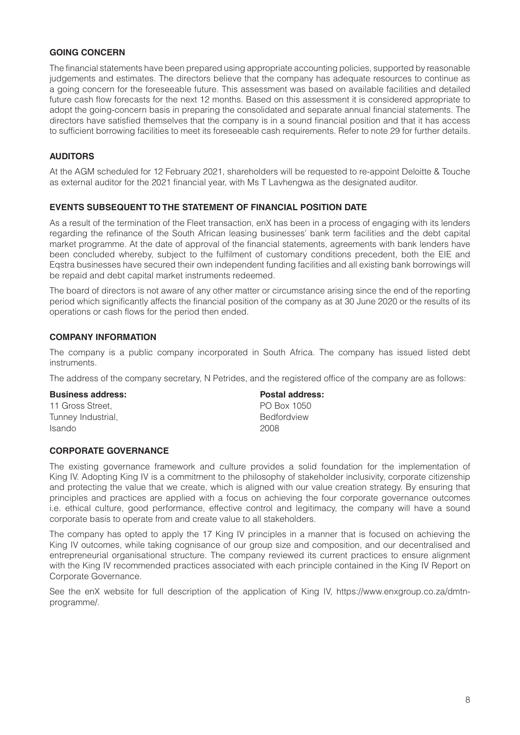# **GOING CONCERN**

The financial statements have been prepared using appropriate accounting policies, supported by reasonable judgements and estimates. The directors believe that the company has adequate resources to continue as a going concern for the foreseeable future. This assessment was based on available facilities and detailed future cash flow forecasts for the next 12 months. Based on this assessment it is considered appropriate to adopt the going-concern basis in preparing the consolidated and separate annual financial statements. The directors have satisfied themselves that the company is in a sound financial position and that it has access to sufficient borrowing facilities to meet its foreseeable cash requirements. Refer to note 29 for further details.

# **AUDITORS**

At the AGM scheduled for 12 February 2021, shareholders will be requested to re-appoint Deloitte & Touche as external auditor for the 2021 financial year, with Ms T Lavhengwa as the designated auditor.

# **EVENTS SUBSEQUENT TO THE STATEMENT OF FINANCIAL POSITION DATE**

As a result of the termination of the Fleet transaction, enX has been in a process of engaging with its lenders regarding the refinance of the South African leasing businesses' bank term facilities and the debt capital market programme. At the date of approval of the financial statements, agreements with bank lenders have been concluded whereby, subject to the fulfilment of customary conditions precedent, both the EIE and Eqstra businesses have secured their own independent funding facilities and all existing bank borrowings will be repaid and debt capital market instruments redeemed.

The board of directors is not aware of any other matter or circumstance arising since the end of the reporting period which significantly affects the financial position of the company as at 30 June 2020 or the results of its operations or cash flows for the period then ended.

### **COMPANY INFORMATION**

The company is a public company incorporated in South Africa. The company has issued listed debt instruments.

The address of the company secretary, N Petrides, and the registered office of the company are as follows:

#### **Business address: Postal address:**

11 Gross Street, The Contract of the PO Box 1050 Tunney Industrial, Tunney Industrial, Tunney Industrial, Tunney Bedfordview Isando 2008

### **CORPORATE GOVERNANCE**

The existing governance framework and culture provides a solid foundation for the implementation of King IV. Adopting King IV is a commitment to the philosophy of stakeholder inclusivity, corporate citizenship and protecting the value that we create, which is aligned with our value creation strategy. By ensuring that principles and practices are applied with a focus on achieving the four corporate governance outcomes i.e. ethical culture, good performance, effective control and legitimacy, the company will have a sound corporate basis to operate from and create value to all stakeholders.

The company has opted to apply the 17 King IV principles in a manner that is focused on achieving the King IV outcomes, while taking cognisance of our group size and composition, and our decentralised and entrepreneurial organisational structure. The company reviewed its current practices to ensure alignment with the King IV recommended practices associated with each principle contained in the King IV Report on Corporate Governance.

See the enX website for full description of the application of King IV, https://www.enxgroup.co.za/dmtnprogramme/.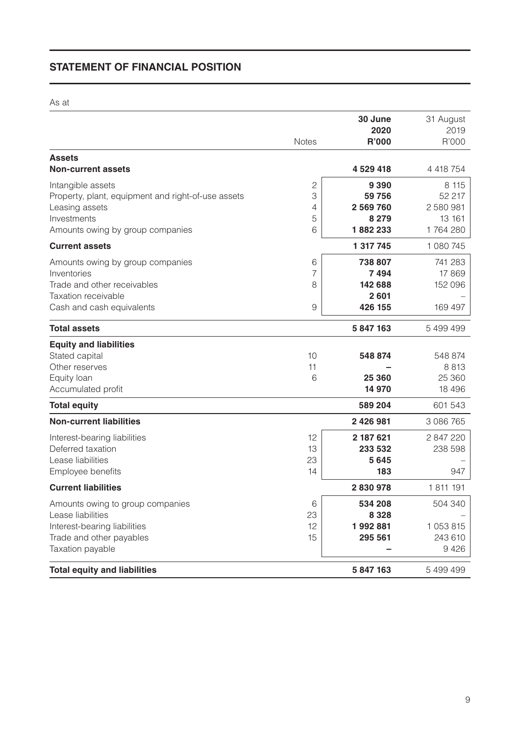# **STATEMENT OF FINANCIAL POSITION**

As at

|                                                    |                | 30 June            | 31 August       |
|----------------------------------------------------|----------------|--------------------|-----------------|
|                                                    | <b>Notes</b>   | 2020<br>R'000      | 2019<br>R'000   |
| <b>Assets</b>                                      |                |                    |                 |
| <b>Non-current assets</b>                          |                | 4 529 418          | 4 4 18 7 5 4    |
| Intangible assets                                  | 2              | 9 3 9 0            | 8 1 1 5         |
| Property, plant, equipment and right-of-use assets | 3              | 59 756             | 52 217          |
| Leasing assets                                     | $\overline{4}$ | 2 569 760          | 2580981         |
| Investments                                        | 5<br>6         | 8 2 7 9<br>1882233 | 13 161          |
| Amounts owing by group companies                   |                |                    | 1764280         |
| <b>Current assets</b>                              |                | 1 317 745          | 1 080 745       |
| Amounts owing by group companies                   | 6              | 738 807            | 741 283         |
| Inventories                                        | 7              | 7494               | 17869           |
| Trade and other receivables<br>Taxation receivable | 8              | 142 688<br>2 601   | 152 096         |
| Cash and cash equivalents                          | 9              | 426 155            | 169 497         |
|                                                    |                |                    |                 |
| <b>Total assets</b>                                |                | 5 847 163          | 5 499 499       |
| <b>Equity and liabilities</b>                      |                |                    |                 |
| Stated capital                                     | 10             | 548 874            | 548 874         |
| Other reserves                                     | 11             |                    | 8 8 1 3         |
| Equity loan                                        | 6              | 25 360             | 25 360          |
| Accumulated profit                                 |                | 14 970             | 18 4 9 6        |
| <b>Total equity</b>                                |                | 589 204            | 601 543         |
| <b>Non-current liabilities</b>                     |                | 2 426 981          | 3 086 765       |
| Interest-bearing liabilities                       | 12             | 2 187 621          | 2 847 220       |
| Deferred taxation                                  | 13             | 233 532            | 238 598         |
| Lease liabilities                                  | 23             | 5 6 4 5            |                 |
| Employee benefits                                  | 14             | 183                | 947             |
| <b>Current liabilities</b>                         |                | 2830978            | 1 811 191       |
| Amounts owing to group companies                   | 6              | 534 208            | 504 340         |
| Lease liabilities                                  | 23             | 8 3 2 8            |                 |
| Interest-bearing liabilities                       | 12             | 1992881            | 1053815         |
| Trade and other payables<br>Taxation payable       | 15             | 295 561            | 243 610<br>9426 |
|                                                    |                |                    |                 |
| <b>Total equity and liabilities</b>                |                | 5 847 163          | 5 499 499       |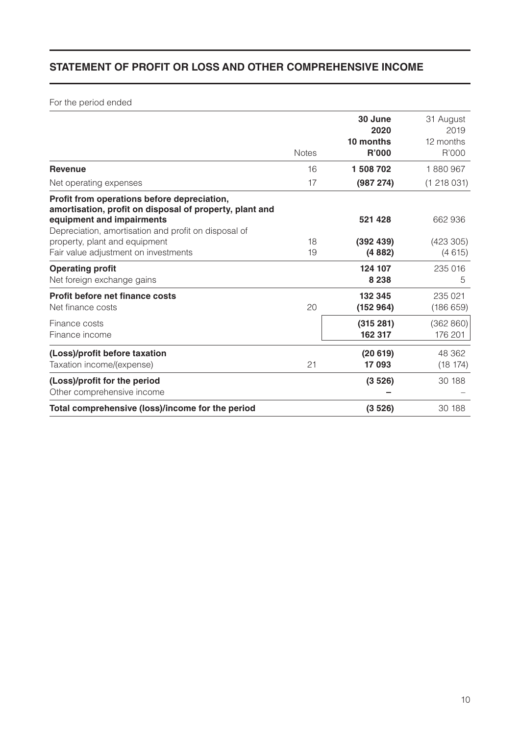# **STATEMENT OF PROFIT OR LOSS AND OTHER COMPREHENSIVE INCOME**

# For the period ended

|                                                                                                        |              | 30 June           | 31 August         |
|--------------------------------------------------------------------------------------------------------|--------------|-------------------|-------------------|
|                                                                                                        |              | 2020<br>10 months | 2019<br>12 months |
|                                                                                                        | <b>Notes</b> | <b>R'000</b>      | R'000             |
| <b>Revenue</b>                                                                                         | 16           | 1 508 702         | 1880967           |
| Net operating expenses                                                                                 | 17           | (987 274)         | (1 218 031)       |
| Profit from operations before depreciation,<br>amortisation, profit on disposal of property, plant and |              |                   |                   |
| equipment and impairments<br>Depreciation, amortisation and profit on disposal of                      |              | 521 428           | 662936            |
| property, plant and equipment                                                                          | 18           | (392 439)         | (423 305)         |
| Fair value adjustment on investments                                                                   | 19           | (4882)            | (4615)            |
| <b>Operating profit</b>                                                                                |              | 124 107           | 235 016           |
| Net foreign exchange gains                                                                             |              | 8 2 3 8           | 5                 |
| <b>Profit before net finance costs</b>                                                                 |              | 132 345           | 235 021           |
| Net finance costs                                                                                      | 20           | (152964)          | (186659)          |
| Finance costs                                                                                          |              | (315 281)         | (362 860)         |
| Finance income                                                                                         |              | 162 317           | 176 201           |
| (Loss)/profit before taxation                                                                          |              | (20619)           | 48 362            |
| Taxation income/(expense)                                                                              | 21           | 17093             | (18 174)          |
| (Loss)/profit for the period                                                                           |              | (3526)            | 30 188            |
| Other comprehensive income                                                                             |              |                   |                   |
| Total comprehensive (loss)/income for the period                                                       |              | (3526)            | 30 188            |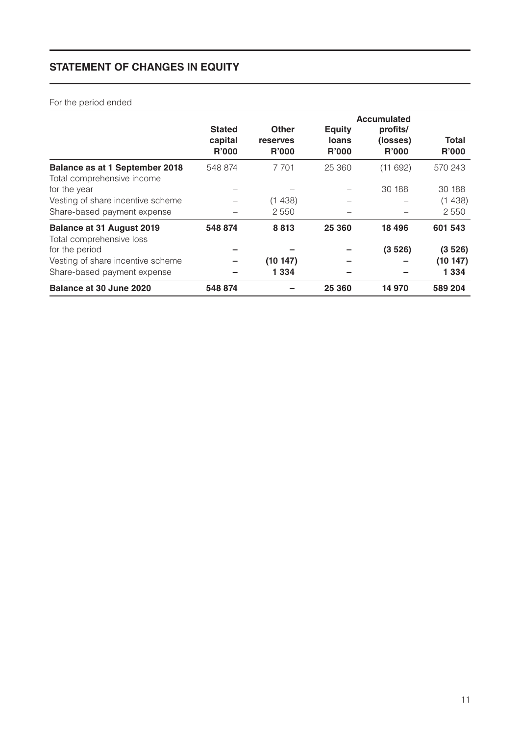# **STATEMENT OF CHANGES IN EQUITY**

# For the period ended

|                                                                     |                                   |                                                 |                                        | <b>Accumulated</b>            |                       |
|---------------------------------------------------------------------|-----------------------------------|-------------------------------------------------|----------------------------------------|-------------------------------|-----------------------|
|                                                                     | <b>Stated</b><br>capital<br>R'000 | <b>Other</b><br><b>reserves</b><br><b>R'000</b> | <b>Equity</b><br><b>loans</b><br>R'000 | profits/<br>(losses)<br>R'000 | Total<br><b>R'000</b> |
| <b>Balance as at 1 September 2018</b><br>Total comprehensive income | 548 874                           | 7 701                                           | 25 360                                 | (11692)                       | 570 243               |
| for the year                                                        |                                   |                                                 |                                        | 30 188                        | 30 188                |
| Vesting of share incentive scheme                                   |                                   | (1438)                                          | $\overline{\phantom{0}}$               |                               | (1438)                |
| Share-based payment expense                                         |                                   | 2550                                            |                                        |                               | 2550                  |
| <b>Balance at 31 August 2019</b>                                    | 548 874                           | 8813                                            | 25 360                                 | 18 4 96                       | 601 543               |
| Total comprehensive loss                                            |                                   |                                                 |                                        |                               |                       |
| for the period                                                      |                                   |                                                 |                                        | (3526)                        | (3526)                |
| Vesting of share incentive scheme                                   |                                   | (10147)                                         |                                        |                               | (10147)               |
| Share-based payment expense                                         |                                   | 1 3 3 4                                         |                                        |                               | 1 3 3 4               |
| Balance at 30 June 2020                                             | 548 874                           |                                                 | 25 360                                 | 14 970                        | 589 204               |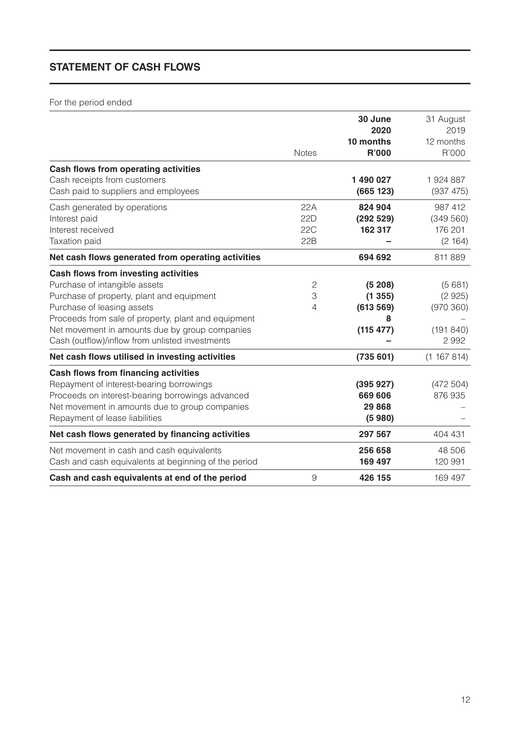# **STATEMENT OF CASH FLOWS**

# For the period ended

|                                                      |                | 30 June<br>2020 | 31 August<br>2019 |
|------------------------------------------------------|----------------|-----------------|-------------------|
|                                                      |                | 10 months       | 12 months         |
|                                                      | <b>Notes</b>   | R'000           | R'000             |
| Cash flows from operating activities                 |                |                 |                   |
| Cash receipts from customers                         |                | 1 490 027       | 1924887           |
| Cash paid to suppliers and employees                 |                | (665 123)       | (937 475)         |
| Cash generated by operations                         | 22A            | 824 904         | 987 412           |
| Interest paid                                        | 22D            | (292529)        | (349 560)         |
| Interest received                                    | <b>22C</b>     | 162 317         | 176 201           |
| Taxation paid                                        | 22B            |                 | (2164)            |
| Net cash flows generated from operating activities   |                | 694 692         | 811 889           |
| <b>Cash flows from investing activities</b>          |                |                 |                   |
| Purchase of intangible assets                        | $\mathbf{2}$   | (5208)          | (5681)            |
| Purchase of property, plant and equipment            | 3              | (1355)          | (2925)            |
| Purchase of leasing assets                           | 4              | (613 569)       | (970 360)         |
| Proceeds from sale of property, plant and equipment  |                | 8               |                   |
| Net movement in amounts due by group companies       |                | (115 477)       | (191840)          |
| Cash (outflow)/inflow from unlisted investments      |                |                 | 2992              |
| Net cash flows utilised in investing activities      |                | (735601)        | (1167814)         |
| <b>Cash flows from financing activities</b>          |                |                 |                   |
| Repayment of interest-bearing borrowings             |                | (395927)        | (472504)          |
| Proceeds on interest-bearing borrowings advanced     |                | 669 606         | 876 935           |
| Net movement in amounts due to group companies       |                | 29 8 68         |                   |
| Repayment of lease liabilities                       |                | (5980)          |                   |
| Net cash flows generated by financing activities     |                | 297 567         | 404 431           |
| Net movement in cash and cash equivalents            |                | 256 658         | 48 506            |
| Cash and cash equivalents at beginning of the period |                | 169 497         | 120 991           |
| Cash and cash equivalents at end of the period       | $\overline{9}$ | 426 155         | 169 497           |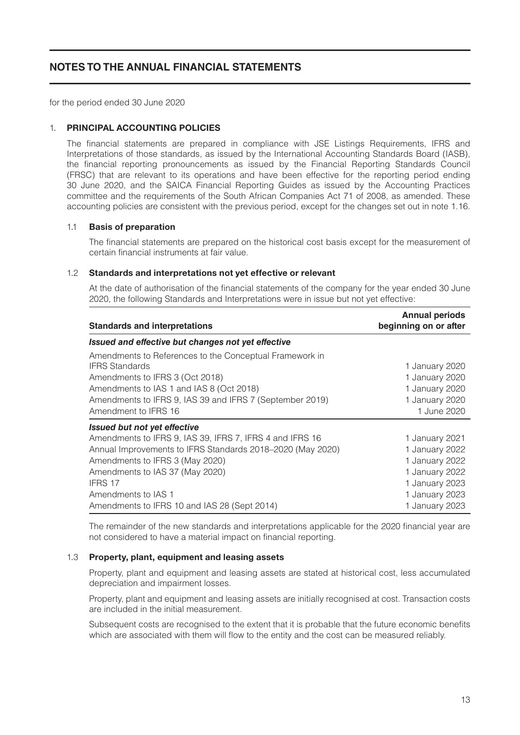# **NOTES TO THE ANNUAL FINANCIAL STATEMENTS**

for the period ended 30 June 2020

### 1. PRINCIPAL ACCOUNTING POLICIES

The financial statements are prepared in compliance with JSE Listings Requirements, IFRS and Interpretations of those standards, as issued by the International Accounting Standards Board (IASB), the financial reporting pronouncements as issued by the Financial Reporting Standards Council (FRSC) that are relevant to its operations and have been effective for the reporting period ending 30 June 2020, and the SAICA Financial Reporting Guides as issued by the Accounting Practices committee and the requirements of the South African Companies Act 71 of 2008, as amended. These accounting policies are consistent with the previous period, except for the changes set out in note 1.16.

#### 1.1 Basis of preparation

The financial statements are prepared on the historical cost basis except for the measurement of certain financial instruments at fair value.

#### 1.2 Standards and interpretations not yet effective or relevant

At the date of authorisation of the financial statements of the company for the year ended 30 June 2020, the following Standards and Interpretations were in issue but not yet effective:

| <b>Standards and interpretations</b>                                                                                                                                                                                                                                                                                  | <b>Annual periods</b><br>beginning on or after                                                                             |
|-----------------------------------------------------------------------------------------------------------------------------------------------------------------------------------------------------------------------------------------------------------------------------------------------------------------------|----------------------------------------------------------------------------------------------------------------------------|
| Issued and effective but changes not yet effective                                                                                                                                                                                                                                                                    |                                                                                                                            |
| Amendments to References to the Conceptual Framework in<br><b>IFRS Standards</b><br>Amendments to IFRS 3 (Oct 2018)<br>Amendments to IAS 1 and IAS 8 (Oct 2018)<br>Amendments to IFRS 9, IAS 39 and IFRS 7 (September 2019)<br>Amendment to IFRS 16                                                                   | 1 January 2020<br>1 January 2020<br>1 January 2020<br>1 January 2020<br>1 June 2020                                        |
| <b>Issued but not yet effective</b><br>Amendments to IFRS 9, IAS 39, IFRS 7, IFRS 4 and IFRS 16<br>Annual Improvements to IFRS Standards 2018-2020 (May 2020)<br>Amendments to IFRS 3 (May 2020)<br>Amendments to IAS 37 (May 2020)<br>IFRS 17<br>Amendments to IAS 1<br>Amendments to IFRS 10 and IAS 28 (Sept 2014) | 1 January 2021<br>1 January 2022<br>1 January 2022<br>1 January 2022<br>1 January 2023<br>1 January 2023<br>1 January 2023 |

The remainder of the new standards and interpretations applicable for the 2020 financial year are not considered to have a material impact on financial reporting.

### 1.3 Property, plant, equipment and leasing assets

Property, plant and equipment and leasing assets are stated at historical cost, less accumulated depreciation and impairment losses.

Property, plant and equipment and leasing assets are initially recognised at cost. Transaction costs are included in the initial measurement.

Subsequent costs are recognised to the extent that it is probable that the future economic benefits which are associated with them will flow to the entity and the cost can be measured reliably.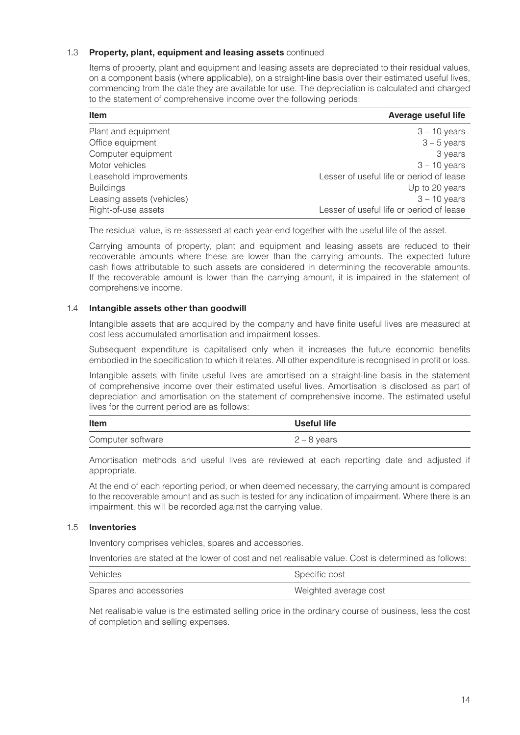# 1.3 Property, plant, equipment and leasing assets continued

Items of property, plant and equipment and leasing assets are depreciated to their residual values, on a component basis (where applicable), on a straight-line basis over their estimated useful lives, commencing from the date they are available for use. The depreciation is calculated and charged to the statement of comprehensive income over the following periods:

| <b>Item</b>               | Average useful life                      |
|---------------------------|------------------------------------------|
| Plant and equipment       | $3 - 10$ years                           |
| Office equipment          | $3 - 5$ years                            |
| Computer equipment        | 3 years                                  |
| Motor vehicles            | $3 - 10$ years                           |
| Leasehold improvements    | Lesser of useful life or period of lease |
| <b>Buildings</b>          | Up to 20 years                           |
| Leasing assets (vehicles) | $3 - 10$ years                           |
| Right-of-use assets       | Lesser of useful life or period of lease |

The residual value, is re-assessed at each year-end together with the useful life of the asset.

Carrying amounts of property, plant and equipment and leasing assets are reduced to their recoverable amounts where these are lower than the carrying amounts. The expected future cash flows attributable to such assets are considered in determining the recoverable amounts. If the recoverable amount is lower than the carrying amount, it is impaired in the statement of comprehensive income.

### 1.4 Intangible assets other than goodwill

Intangible assets that are acquired by the company and have finite useful lives are measured at cost less accumulated amortisation and impairment losses.

Subsequent expenditure is capitalised only when it increases the future economic benefits embodied in the specification to which it relates. All other expenditure is recognised in profit or loss.

Intangible assets with finite useful lives are amortised on a straight-line basis in the statement of comprehensive income over their estimated useful lives. Amortisation is disclosed as part of depreciation and amortisation on the statement of comprehensive income. The estimated useful lives for the current period are as follows:

| Item              | Useful life |
|-------------------|-------------|
| Computer software | $2-8$ years |

Amortisation methods and useful lives are reviewed at each reporting date and adjusted if appropriate.

At the end of each reporting period, or when deemed necessary, the carrying amount is compared to the recoverable amount and as such is tested for any indication of impairment. Where there is an impairment, this will be recorded against the carrying value.

# 1.5 Inventories

Inventory comprises vehicles, spares and accessories.

Inventories are stated at the lower of cost and net realisable value. Cost is determined as follows:

| Vehicles               | Specific cost         |
|------------------------|-----------------------|
| Spares and accessories | Weighted average cost |

Net realisable value is the estimated selling price in the ordinary course of business, less the cost of completion and selling expenses.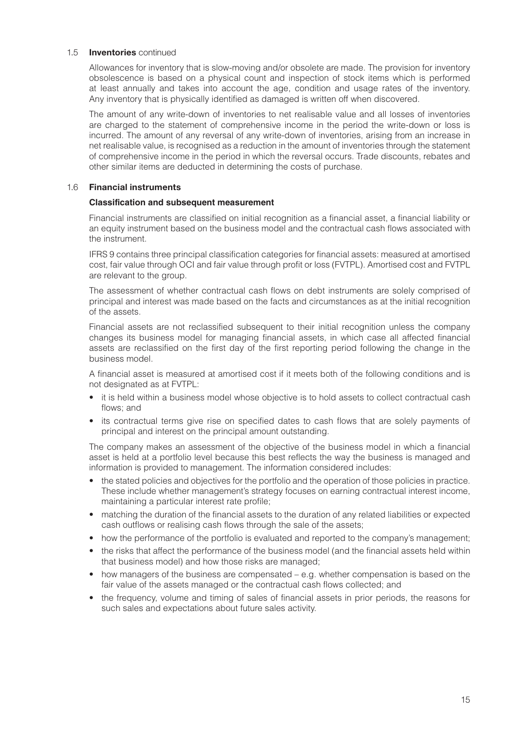#### 1.5 **Inventories** continued

Allowances for inventory that is slow-moving and/or obsolete are made. The provision for inventory obsolescence is based on a physical count and inspection of stock items which is performed at least annually and takes into account the age, condition and usage rates of the inventory. Any inventory that is physically identified as damaged is written off when discovered.

The amount of any write-down of inventories to net realisable value and all losses of inventories are charged to the statement of comprehensive income in the period the write-down or loss is incurred. The amount of any reversal of any write-down of inventories, arising from an increase in net realisable value, is recognised as a reduction in the amount of inventories through the statement of comprehensive income in the period in which the reversal occurs. Trade discounts, rebates and other similar items are deducted in determining the costs of purchase.

### 1.6 Financial instruments

### **Classification and subsequent measurement**

Financial instruments are classified on initial recognition as a financial asset, a financial liability or an equity instrument based on the business model and the contractual cash flows associated with the instrument.

IFRS 9 contains three principal classification categories for financial assets: measured at amortised cost, fair value through OCI and fair value through profit or loss (FVTPL). Amortised cost and FVTPL are relevant to the group.

The assessment of whether contractual cash flows on debt instruments are solely comprised of principal and interest was made based on the facts and circumstances as at the initial recognition of the assets.

Financial assets are not reclassified subsequent to their initial recognition unless the company changes its business model for managing financial assets, in which case all affected financial assets are reclassified on the first day of the first reporting period following the change in the business model.

A financial asset is measured at amortised cost if it meets both of the following conditions and is not designated as at FVTPL:

- it is held within a business model whose objective is to hold assets to collect contractual cash flows; and
- its contractual terms give rise on specified dates to cash flows that are solely payments of principal and interest on the principal amount outstanding.

The company makes an assessment of the objective of the business model in which a financial asset is held at a portfolio level because this best reflects the way the business is managed and information is provided to management. The information considered includes:

- the stated policies and objectives for the portfolio and the operation of those policies in practice. These include whether management's strategy focuses on earning contractual interest income, maintaining a particular interest rate profile;
- matching the duration of the financial assets to the duration of any related liabilities or expected cash outflows or realising cash flows through the sale of the assets;
- how the performance of the portfolio is evaluated and reported to the company's management;
- the risks that affect the performance of the business model (and the financial assets held within that business model) and how those risks are managed;
- how managers of the business are compensated e.g. whether compensation is based on the fair value of the assets managed or the contractual cash flows collected; and
- the frequency, volume and timing of sales of financial assets in prior periods, the reasons for such sales and expectations about future sales activity.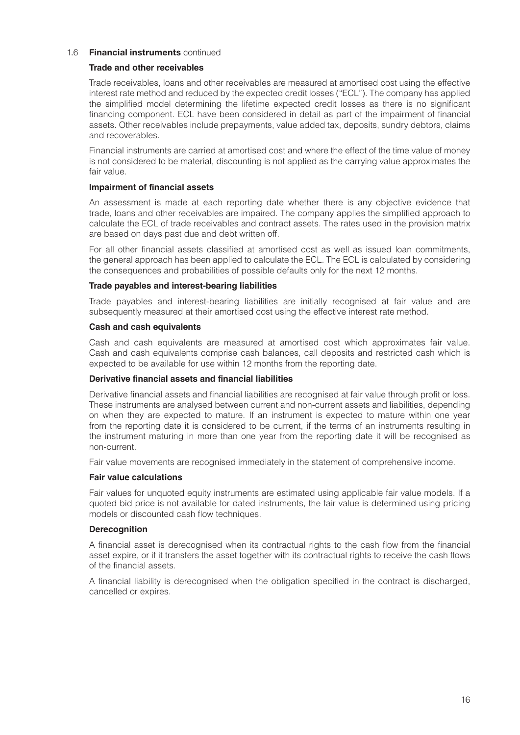#### 1.6 Financial instruments continued

#### **Trade and other receivables**

Trade receivables, loans and other receivables are measured at amortised cost using the effective interest rate method and reduced by the expected credit losses ("ECL"). The company has applied the simplified model determining the lifetime expected credit losses as there is no significant financing component. ECL have been considered in detail as part of the impairment of financial assets. Other receivables include prepayments, value added tax, deposits, sundry debtors, claims and recoverables.

Financial instruments are carried at amortised cost and where the effect of the time value of money is not considered to be material, discounting is not applied as the carrying value approximates the fair value.

#### **Impairment of financial assets**

An assessment is made at each reporting date whether there is any objective evidence that trade, loans and other receivables are impaired. The company applies the simplified approach to calculate the ECL of trade receivables and contract assets. The rates used in the provision matrix are based on days past due and debt written off.

For all other financial assets classified at amortised cost as well as issued loan commitments, the general approach has been applied to calculate the ECL. The ECL is calculated by considering the consequences and probabilities of possible defaults only for the next 12 months.

#### **Trade payables and interest-bearing liabilities**

Trade payables and interest-bearing liabilities are initially recognised at fair value and are subsequently measured at their amortised cost using the effective interest rate method.

#### **Cash and cash equivalents**

Cash and cash equivalents are measured at amortised cost which approximates fair value. Cash and cash equivalents comprise cash balances, call deposits and restricted cash which is expected to be available for use within 12 months from the reporting date.

#### **Derivative financial assets and financial liabilities**

Derivative financial assets and financial liabilities are recognised at fair value through profit or loss. These instruments are analysed between current and non-current assets and liabilities, depending on when they are expected to mature. If an instrument is expected to mature within one year from the reporting date it is considered to be current, if the terms of an instruments resulting in the instrument maturing in more than one year from the reporting date it will be recognised as non-current.

Fair value movements are recognised immediately in the statement of comprehensive income.

### **Fair value calculations**

Fair values for unquoted equity instruments are estimated using applicable fair value models. If a quoted bid price is not available for dated instruments, the fair value is determined using pricing models or discounted cash flow techniques.

### **Derecognition**

A financial asset is derecognised when its contractual rights to the cash flow from the financial asset expire, or if it transfers the asset together with its contractual rights to receive the cash flows of the financial assets.

A financial liability is derecognised when the obligation specified in the contract is discharged, cancelled or expires.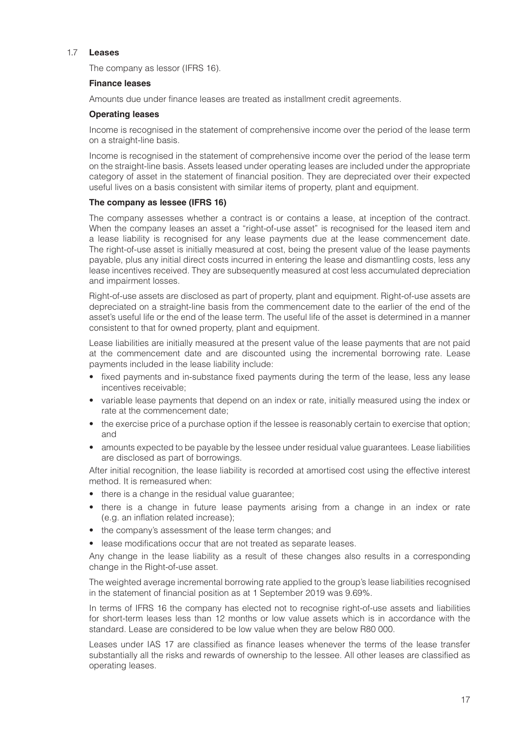#### 1.7 Leases

The company as lessor (IFRS 16).

#### **Finance leases**

Amounts due under finance leases are treated as installment credit agreements.

#### **Operating leases**

Income is recognised in the statement of comprehensive income over the period of the lease term on a straight-line basis.

Income is recognised in the statement of comprehensive income over the period of the lease term on the straight-line basis. Assets leased under operating leases are included under the appropriate category of asset in the statement of financial position. They are depreciated over their expected useful lives on a basis consistent with similar items of property, plant and equipment.

#### **The company as lessee (IFRS 16)**

The company assesses whether a contract is or contains a lease, at inception of the contract. When the company leases an asset a "right-of-use asset" is recognised for the leased item and a lease liability is recognised for any lease payments due at the lease commencement date. The right-of-use asset is initially measured at cost, being the present value of the lease payments payable, plus any initial direct costs incurred in entering the lease and dismantling costs, less any lease incentives received. They are subsequently measured at cost less accumulated depreciation and impairment losses.

Right-of-use assets are disclosed as part of property, plant and equipment. Right-of-use assets are depreciated on a straight-line basis from the commencement date to the earlier of the end of the asset's useful life or the end of the lease term. The useful life of the asset is determined in a manner consistent to that for owned property, plant and equipment.

Lease liabilities are initially measured at the present value of the lease payments that are not paid at the commencement date and are discounted using the incremental borrowing rate. Lease payments included in the lease liability include:

- fixed payments and in-substance fixed payments during the term of the lease, less any lease incentives receivable;
- variable lease payments that depend on an index or rate, initially measured using the index or rate at the commencement date;
- the exercise price of a purchase option if the lessee is reasonably certain to exercise that option; and
- amounts expected to be payable by the lessee under residual value guarantees. Lease liabilities are disclosed as part of borrowings.

After initial recognition, the lease liability is recorded at amortised cost using the effective interest method. It is remeasured when:

- there is a change in the residual value guarantee;
- there is a change in future lease payments arising from a change in an index or rate (e.g. an inflation related increase);
- the company's assessment of the lease term changes; and
- lease modifications occur that are not treated as separate leases.

Any change in the lease liability as a result of these changes also results in a corresponding change in the Right-of-use asset.

The weighted average incremental borrowing rate applied to the group's lease liabilities recognised in the statement of financial position as at 1 September 2019 was 9.69%.

In terms of IFRS 16 the company has elected not to recognise right-of-use assets and liabilities for short-term leases less than 12 months or low value assets which is in accordance with the standard. Lease are considered to be low value when they are below R80 000.

Leases under IAS 17 are classified as finance leases whenever the terms of the lease transfer substantially all the risks and rewards of ownership to the lessee. All other leases are classified as operating leases.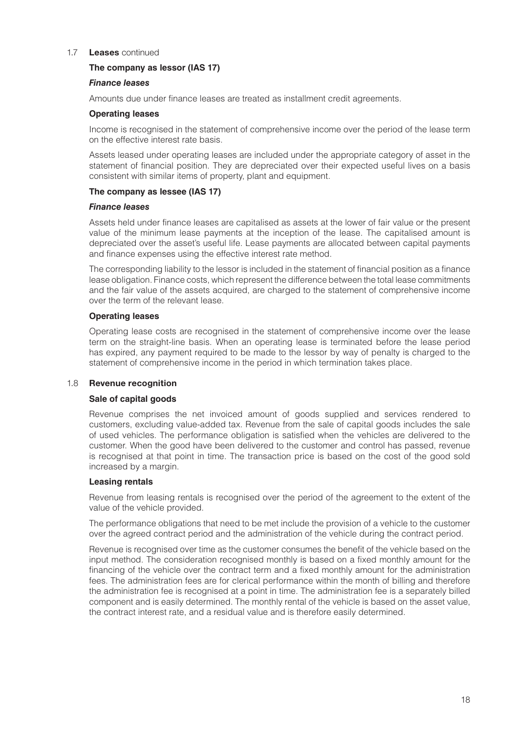#### 1.7 **Leases** continued

# **The company as lessor (IAS 17)**

#### *Finance leases*

Amounts due under finance leases are treated as installment credit agreements.

#### **Operating leases**

Income is recognised in the statement of comprehensive income over the period of the lease term on the effective interest rate basis.

Assets leased under operating leases are included under the appropriate category of asset in the statement of financial position. They are depreciated over their expected useful lives on a basis consistent with similar items of property, plant and equipment.

### **The company as lessee (IAS 17)**

#### *Finance leases*

Assets held under finance leases are capitalised as assets at the lower of fair value or the present value of the minimum lease payments at the inception of the lease. The capitalised amount is depreciated over the asset's useful life. Lease payments are allocated between capital payments and finance expenses using the effective interest rate method.

The corresponding liability to the lessor is included in the statement of financial position as a finance lease obligation. Finance costs, which represent the difference between the total lease commitments and the fair value of the assets acquired, are charged to the statement of comprehensive income over the term of the relevant lease.

### **Operating leases**

Operating lease costs are recognised in the statement of comprehensive income over the lease term on the straight-line basis. When an operating lease is terminated before the lease period has expired, any payment required to be made to the lessor by way of penalty is charged to the statement of comprehensive income in the period in which termination takes place.

### 1.8 Revenue recognition

#### **Sale of capital goods**

Revenue comprises the net invoiced amount of goods supplied and services rendered to customers, excluding value-added tax. Revenue from the sale of capital goods includes the sale of used vehicles. The performance obligation is satisfied when the vehicles are delivered to the customer. When the good have been delivered to the customer and control has passed, revenue is recognised at that point in time. The transaction price is based on the cost of the good sold increased by a margin.

#### **Leasing rentals**

Revenue from leasing rentals is recognised over the period of the agreement to the extent of the value of the vehicle provided.

The performance obligations that need to be met include the provision of a vehicle to the customer over the agreed contract period and the administration of the vehicle during the contract period.

Revenue is recognised over time as the customer consumes the benefit of the vehicle based on the input method. The consideration recognised monthly is based on a fixed monthly amount for the financing of the vehicle over the contract term and a fixed monthly amount for the administration fees. The administration fees are for clerical performance within the month of billing and therefore the administration fee is recognised at a point in time. The administration fee is a separately billed component and is easily determined. The monthly rental of the vehicle is based on the asset value, the contract interest rate, and a residual value and is therefore easily determined.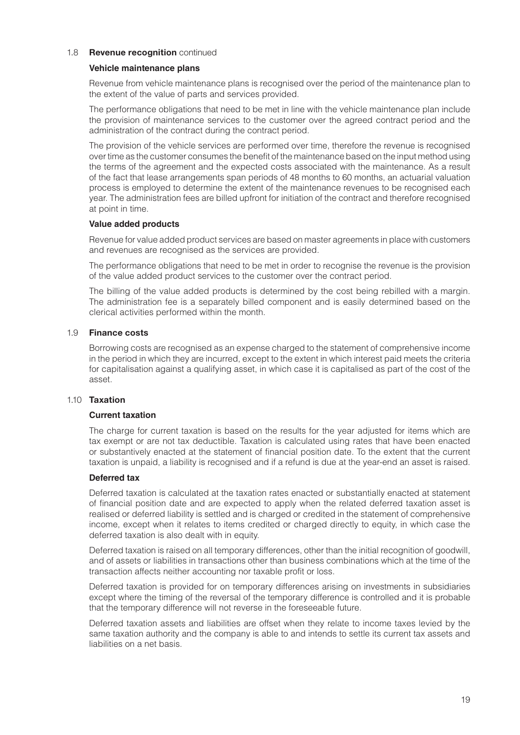#### 1.8 Revenue recognition continued

#### **Vehicle maintenance plans**

Revenue from vehicle maintenance plans is recognised over the period of the maintenance plan to the extent of the value of parts and services provided.

The performance obligations that need to be met in line with the vehicle maintenance plan include the provision of maintenance services to the customer over the agreed contract period and the administration of the contract during the contract period.

The provision of the vehicle services are performed over time, therefore the revenue is recognised over time as the customer consumes the benefit of the maintenance based on the input method using the terms of the agreement and the expected costs associated with the maintenance. As a result of the fact that lease arrangements span periods of 48 months to 60 months, an actuarial valuation process is employed to determine the extent of the maintenance revenues to be recognised each year. The administration fees are billed upfront for initiation of the contract and therefore recognised at point in time.

#### **Value added products**

Revenue for value added product services are based on master agreements in place with customers and revenues are recognised as the services are provided.

The performance obligations that need to be met in order to recognise the revenue is the provision of the value added product services to the customer over the contract period.

The billing of the value added products is determined by the cost being rebilled with a margin. The administration fee is a separately billed component and is easily determined based on the clerical activities performed within the month.

#### 1.9 Finance costs

Borrowing costs are recognised as an expense charged to the statement of comprehensive income in the period in which they are incurred, except to the extent in which interest paid meets the criteria for capitalisation against a qualifying asset, in which case it is capitalised as part of the cost of the asset.

#### 1.10 Taxation

#### **Current taxation**

The charge for current taxation is based on the results for the year adjusted for items which are tax exempt or are not tax deductible. Taxation is calculated using rates that have been enacted or substantively enacted at the statement of financial position date. To the extent that the current taxation is unpaid, a liability is recognised and if a refund is due at the year-end an asset is raised.

### **Deferred tax**

Deferred taxation is calculated at the taxation rates enacted or substantially enacted at statement of financial position date and are expected to apply when the related deferred taxation asset is realised or deferred liability is settled and is charged or credited in the statement of comprehensive income, except when it relates to items credited or charged directly to equity, in which case the deferred taxation is also dealt with in equity.

Deferred taxation is raised on all temporary differences, other than the initial recognition of goodwill, and of assets or liabilities in transactions other than business combinations which at the time of the transaction affects neither accounting nor taxable profit or loss.

Deferred taxation is provided for on temporary differences arising on investments in subsidiaries except where the timing of the reversal of the temporary difference is controlled and it is probable that the temporary difference will not reverse in the foreseeable future.

Deferred taxation assets and liabilities are offset when they relate to income taxes levied by the same taxation authority and the company is able to and intends to settle its current tax assets and liabilities on a net basis.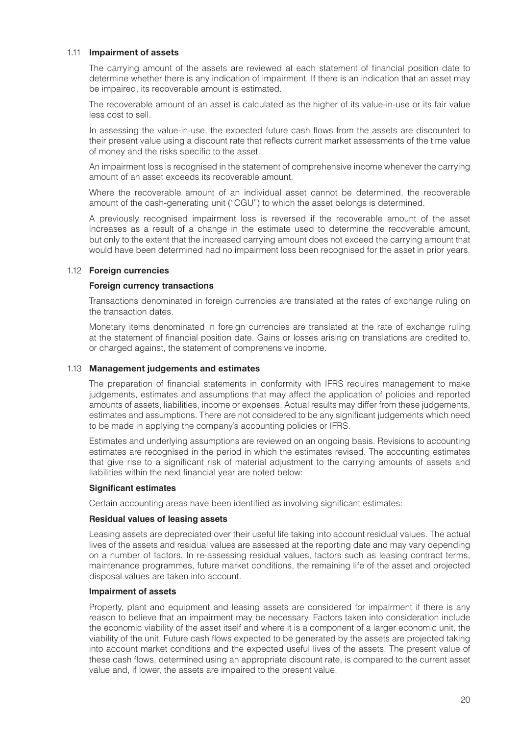#### 1.11 Impairment of assets

The carrying amount of the assets are reviewed at each statement of financial position date to determine whether there is any indication of impairment. If there is an indication that an asset may be impaired, its recoverable amount is estimated.

The recoverable amount of an asset is calculated as the higher of its value-in-use or its fair value less cost to sell.

In assessing the value-in-use, the expected future cash flows from the assets are discounted to their present value using a discount rate that reflects current market assessments of the time value of money and the risks specific to the asset.

An impairment loss is recognised in the statement of comprehensive income whenever the carrying amount of an asset exceeds its recoverable amount.

Where the recoverable amount of an individual asset cannot be determined, the recoverable amount of the cash-generating unit ("CGU") to which the asset belongs is determined.

A previously recognised impairment loss is reversed if the recoverable amount of the asset increases as a result of a change in the estimate used to determine the recoverable amount, but only to the extent that the increased carrying amount does not exceed the carrying amount that would have been determined had no impairment loss been recognised for the asset in prior years.

### 1.12 Foreign currencies

#### **Foreign currency transactions**

Transactions denominated in foreign currencies are translated at the rates of exchange ruling on the transaction dates.

Monetary items denominated in foreign currencies are translated at the rate of exchange ruling at the statement of financial position date. Gains or losses arising on translations are credited to, or charged against, the statement of comprehensive income.

#### 1.13 Management judgements and estimates

The preparation of financial statements in conformity with IFRS requires management to make judgements, estimates and assumptions that may affect the application of policies and reported amounts of assets, liabilities, income or expenses. Actual results may differ from these judgements, estimates and assumptions. There are not considered to be any significant judgements which need to be made in applying the company's accounting policies or IFRS.

Estimates and underlying assumptions are reviewed on an ongoing basis. Revisions to accounting estimates are recognised in the period in which the estimates revised. The accounting estimates that give rise to a significant risk of material adjustment to the carrying amounts of assets and liabilities within the next financial year are noted below:

### **Significant estimates**

Certain accounting areas have been identified as involving significant estimates:

#### **Residual values of leasing assets**

Leasing assets are depreciated over their useful life taking into account residual values. The actual lives of the assets and residual values are assessed at the reporting date and may vary depending on a number of factors. In re-assessing residual values, factors such as leasing contract terms, maintenance programmes, future market conditions, the remaining life of the asset and projected disposal values are taken into account.

#### **Impairment of assets**

Property, plant and equipment and leasing assets are considered for impairment if there is any reason to believe that an impairment may be necessary. Factors taken into consideration include the economic viability of the asset itself and where it is a component of a larger economic unit, the viability of the unit. Future cash flows expected to be generated by the assets are projected taking into account market conditions and the expected useful lives of the assets. The present value of these cash flows, determined using an appropriate discount rate, is compared to the current asset value and, if lower, the assets are impaired to the present value.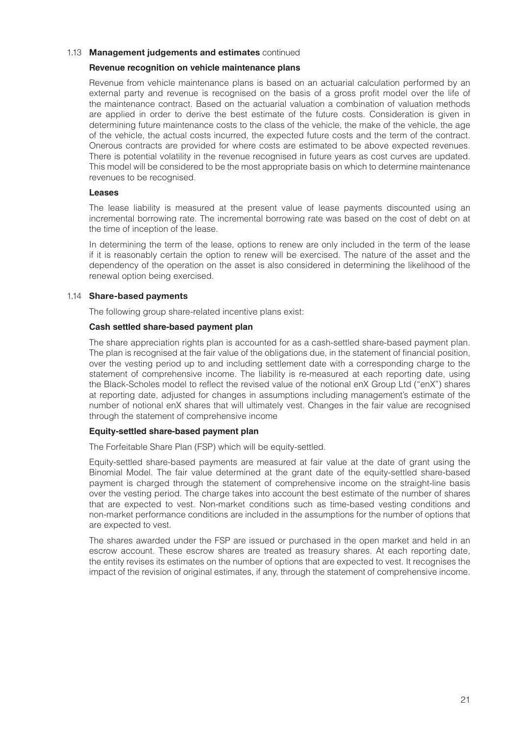#### 1.13 Management judgements and estimates continued

#### **Revenue recognition on vehicle maintenance plans**

Revenue from vehicle maintenance plans is based on an actuarial calculation performed by an external party and revenue is recognised on the basis of a gross profit model over the life of the maintenance contract. Based on the actuarial valuation a combination of valuation methods are applied in order to derive the best estimate of the future costs. Consideration is given in determining future maintenance costs to the class of the vehicle, the make of the vehicle, the age of the vehicle, the actual costs incurred, the expected future costs and the term of the contract. Onerous contracts are provided for where costs are estimated to be above expected revenues. There is potential volatility in the revenue recognised in future years as cost curves are updated. This model will be considered to be the most appropriate basis on which to determine maintenance revenues to be recognised.

#### **Leases**

The lease liability is measured at the present value of lease payments discounted using an incremental borrowing rate. The incremental borrowing rate was based on the cost of debt on at the time of inception of the lease.

In determining the term of the lease, options to renew are only included in the term of the lease if it is reasonably certain the option to renew will be exercised. The nature of the asset and the dependency of the operation on the asset is also considered in determining the likelihood of the renewal option being exercised.

#### 1.14 Share-based payments

The following group share-related incentive plans exist:

#### **Cash settled share-based payment plan**

The share appreciation rights plan is accounted for as a cash-settled share-based payment plan. The plan is recognised at the fair value of the obligations due, in the statement of financial position, over the vesting period up to and including settlement date with a corresponding charge to the statement of comprehensive income. The liability is re-measured at each reporting date, using the Black-Scholes model to reflect the revised value of the notional enX Group Ltd ("enX") shares at reporting date, adjusted for changes in assumptions including management's estimate of the number of notional enX shares that will ultimately vest. Changes in the fair value are recognised through the statement of comprehensive income

### **Equity-settled share-based payment plan**

The Forfeitable Share Plan (FSP) which will be equity-settled.

Equity-settled share-based payments are measured at fair value at the date of grant using the Binomial Model. The fair value determined at the grant date of the equity-settled share-based payment is charged through the statement of comprehensive income on the straight-line basis over the vesting period. The charge takes into account the best estimate of the number of shares that are expected to vest. Non-market conditions such as time-based vesting conditions and non-market performance conditions are included in the assumptions for the number of options that are expected to vest.

The shares awarded under the FSP are issued or purchased in the open market and held in an escrow account. These escrow shares are treated as treasury shares. At each reporting date, the entity revises its estimates on the number of options that are expected to vest. It recognises the impact of the revision of original estimates, if any, through the statement of comprehensive income.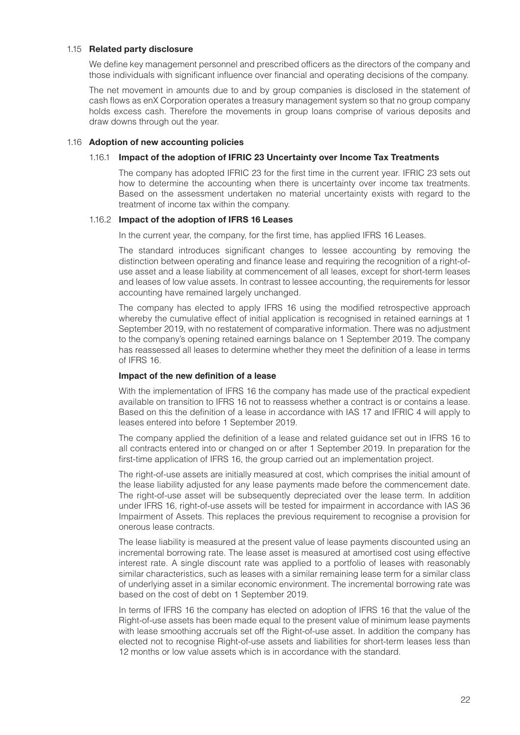#### 1.15 Related party disclosure

We define key management personnel and prescribed officers as the directors of the company and those individuals with significant influence over financial and operating decisions of the company.

The net movement in amounts due to and by group companies is disclosed in the statement of cash flows as enX Corporation operates a treasury management system so that no group company holds excess cash. Therefore the movements in group loans comprise of various deposits and draw downs through out the year.

### 1.16 Adoption of new accounting policies

### 1.16.1 Impact of the adoption of IFRIC 23 Uncertainty over Income Tax Treatments

The company has adopted IFRIC 23 for the first time in the current year. IFRIC 23 sets out how to determine the accounting when there is uncertainty over income tax treatments. Based on the assessment undertaken no material uncertainty exists with regard to the treatment of income tax within the company.

#### 1.16.2 Impact of the adoption of IFRS 16 Leases

In the current year, the company, for the first time, has applied IFRS 16 Leases.

The standard introduces significant changes to lessee accounting by removing the distinction between operating and finance lease and requiring the recognition of a right-ofuse asset and a lease liability at commencement of all leases, except for short-term leases and leases of low value assets. In contrast to lessee accounting, the requirements for lessor accounting have remained largely unchanged.

The company has elected to apply IFRS 16 using the modified retrospective approach whereby the cumulative effect of initial application is recognised in retained earnings at 1 September 2019, with no restatement of comparative information. There was no adjustment to the company's opening retained earnings balance on 1 September 2019. The company has reassessed all leases to determine whether they meet the definition of a lease in terms of IFRS 16.

### **Impact of the new definition of a lease**

With the implementation of IFRS 16 the company has made use of the practical expedient available on transition to IFRS 16 not to reassess whether a contract is or contains a lease. Based on this the definition of a lease in accordance with IAS 17 and IFRIC 4 will apply to leases entered into before 1 September 2019.

The company applied the definition of a lease and related guidance set out in IFRS 16 to all contracts entered into or changed on or after 1 September 2019. In preparation for the first-time application of IFRS 16, the group carried out an implementation project.

The right-of-use assets are initially measured at cost, which comprises the initial amount of the lease liability adjusted for any lease payments made before the commencement date. The right-of-use asset will be subsequently depreciated over the lease term. In addition under IFRS 16, right-of-use assets will be tested for impairment in accordance with IAS 36 Impairment of Assets. This replaces the previous requirement to recognise a provision for onerous lease contracts.

The lease liability is measured at the present value of lease payments discounted using an incremental borrowing rate. The lease asset is measured at amortised cost using effective interest rate. A single discount rate was applied to a portfolio of leases with reasonably similar characteristics, such as leases with a similar remaining lease term for a similar class of underlying asset in a similar economic environment. The incremental borrowing rate was based on the cost of debt on 1 September 2019.

In terms of IFRS 16 the company has elected on adoption of IFRS 16 that the value of the Right-of-use assets has been made equal to the present value of minimum lease payments with lease smoothing accruals set off the Right-of-use asset. In addition the company has elected not to recognise Right-of-use assets and liabilities for short-term leases less than 12 months or low value assets which is in accordance with the standard.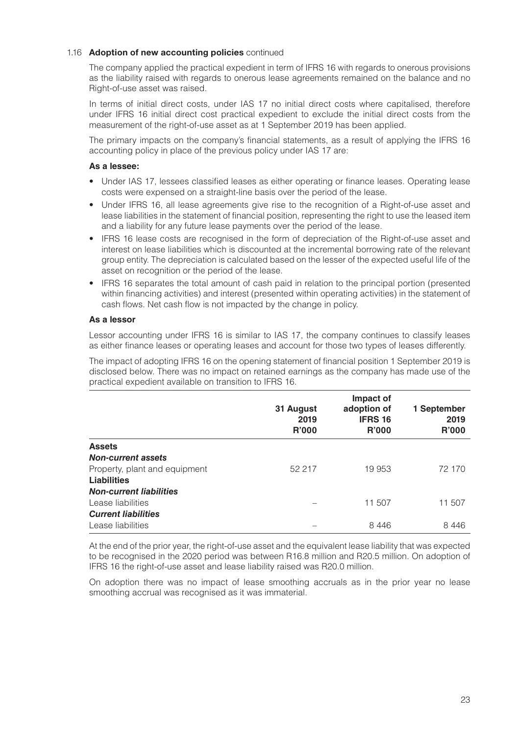### 1.16 Adoption of new accounting policies continued

The company applied the practical expedient in term of IFRS 16 with regards to onerous provisions as the liability raised with regards to onerous lease agreements remained on the balance and no Right-of-use asset was raised.

In terms of initial direct costs, under IAS 17 no initial direct costs where capitalised, therefore under IFRS 16 initial direct cost practical expedient to exclude the initial direct costs from the measurement of the right-of-use asset as at 1 September 2019 has been applied.

The primary impacts on the company's financial statements, as a result of applying the IFRS 16 accounting policy in place of the previous policy under IAS 17 are:

### **As a lessee:**

- Under IAS 17, lessees classified leases as either operating or finance leases. Operating lease costs were expensed on a straight-line basis over the period of the lease.
- Under IFRS 16, all lease agreements give rise to the recognition of a Right-of-use asset and lease liabilities in the statement of financial position, representing the right to use the leased item and a liability for any future lease payments over the period of the lease.
- IFRS 16 lease costs are recognised in the form of depreciation of the Right-of-use asset and interest on lease liabilities which is discounted at the incremental borrowing rate of the relevant group entity. The depreciation is calculated based on the lesser of the expected useful life of the asset on recognition or the period of the lease.
- IFRS 16 separates the total amount of cash paid in relation to the principal portion (presented within financing activities) and interest (presented within operating activities) in the statement of cash flows. Net cash flow is not impacted by the change in policy.

# **As a lessor**

Lessor accounting under IFRS 16 is similar to IAS 17, the company continues to classify leases as either finance leases or operating leases and account for those two types of leases differently.

The impact of adopting IFRS 16 on the opening statement of financial position 1 September 2019 is disclosed below. There was no impact on retained earnings as the company has made use of the practical expedient available on transition to IFRS 16.

|                                | 31 August<br>2019<br><b>R'000</b> | Impact of<br>adoption of<br><b>IFRS 16</b><br><b>R'000</b> | 1 September<br>2019<br>R'000 |
|--------------------------------|-----------------------------------|------------------------------------------------------------|------------------------------|
| <b>Assets</b>                  |                                   |                                                            |                              |
| <b>Non-current assets</b>      |                                   |                                                            |                              |
| Property, plant and equipment  | 52 217                            | 19 953                                                     | 72 170                       |
| <b>Liabilities</b>             |                                   |                                                            |                              |
| <b>Non-current liabilities</b> |                                   |                                                            |                              |
| Lease liabilities              |                                   | 11 507                                                     | 11 507                       |
| <b>Current liabilities</b>     |                                   |                                                            |                              |
| Lease liabilities              |                                   | 8446                                                       | 8446                         |

At the end of the prior year, the right-of-use asset and the equivalent lease liability that was expected to be recognised in the 2020 period was between R16.8 million and R20.5 million. On adoption of IFRS 16 the right-of-use asset and lease liability raised was R20.0 million.

On adoption there was no impact of lease smoothing accruals as in the prior year no lease smoothing accrual was recognised as it was immaterial.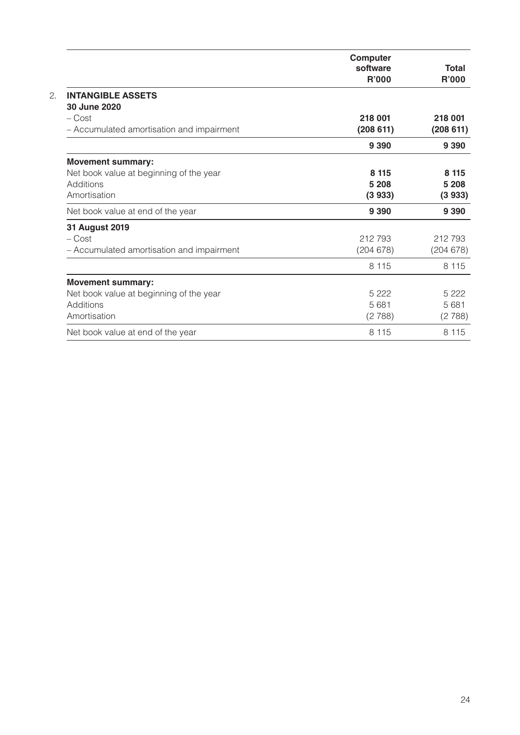|                                                      | <b>Computer</b><br>software<br><b>R'000</b> | <b>Total</b><br><b>R'000</b> |
|------------------------------------------------------|---------------------------------------------|------------------------------|
| <b>INTANGIBLE ASSETS</b>                             |                                             |                              |
| 30 June 2020                                         |                                             |                              |
| $-Cost$<br>- Accumulated amortisation and impairment | 218 001<br>(208 611)                        | 218 001<br>(208 611)         |
|                                                      | 9 3 9 0                                     | 9 3 9 0                      |
| <b>Movement summary:</b>                             |                                             |                              |
| Net book value at beginning of the year              | 8 1 1 5                                     | 8 1 1 5                      |
| <b>Additions</b>                                     | 5 2 0 8                                     | 5 2 0 8                      |
| Amortisation                                         | (3933)                                      | (3933)                       |
| Net book value at end of the year                    | 9 3 9 0                                     | 9 3 9 0                      |
| 31 August 2019                                       |                                             |                              |
| – Cost                                               | 212793                                      | 212793                       |
| - Accumulated amortisation and impairment            | (204678)                                    | (204678)                     |
|                                                      | 8 1 1 5                                     | 8 1 1 5                      |
| <b>Movement summary:</b>                             |                                             |                              |
| Net book value at beginning of the year              | 5 2 2 2                                     | 5 2 2 2                      |
| <b>Additions</b>                                     | 5681                                        | 5 681                        |
| Amortisation                                         | (2788)                                      | (2788)                       |
| Net book value at end of the year                    | 8 1 1 5                                     | 8 1 1 5                      |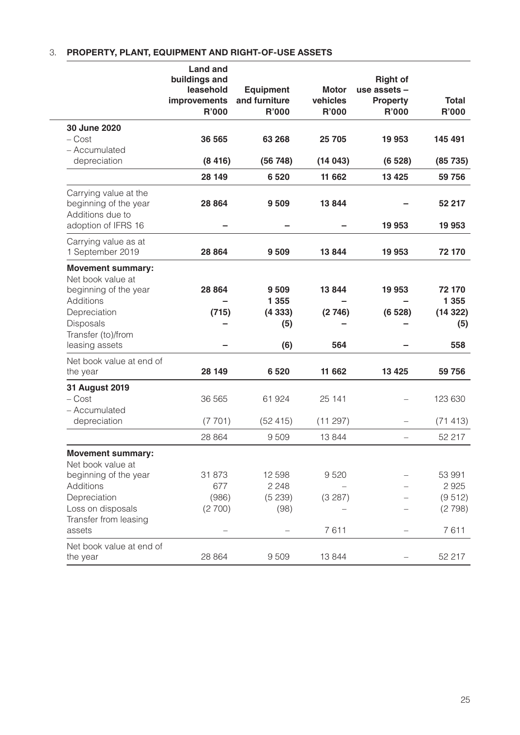# 3. PROPERTY, PLANT, EQUIPMENT AND RIGHT-OF-USE ASSETS

|                                                                                                                                               | <b>Land and</b><br>buildings and<br>leasehold<br>improvements<br><b>R'000</b> | <b>Equipment</b><br>and furniture<br>R'000 | <b>Motor</b><br>vehicles<br>R'000 | <b>Right of</b><br>use assets -<br><b>Property</b><br>R'000 | <b>Total</b><br>R'000               |
|-----------------------------------------------------------------------------------------------------------------------------------------------|-------------------------------------------------------------------------------|--------------------------------------------|-----------------------------------|-------------------------------------------------------------|-------------------------------------|
| 30 June 2020                                                                                                                                  |                                                                               |                                            |                                   |                                                             |                                     |
| – Cost                                                                                                                                        | 36 565                                                                        | 63 268                                     | 25 705                            | 19 953                                                      | 145 491                             |
| - Accumulated<br>depreciation                                                                                                                 | (8416)                                                                        | (56748)                                    | (14043)                           | (6528)                                                      | (85735)                             |
|                                                                                                                                               | 28 149                                                                        | 6 5 20                                     | 11 662                            | 13 4 25                                                     | 59 756                              |
| Carrying value at the<br>beginning of the year<br>Additions due to                                                                            | 28 8 64                                                                       | 9 5 0 9                                    | 13 844                            |                                                             | 52 217                              |
| adoption of IFRS 16                                                                                                                           |                                                                               |                                            |                                   | 19 953                                                      | 19 953                              |
| Carrying value as at<br>1 September 2019                                                                                                      | 28 8 64                                                                       | 9509                                       | 13844                             | 19 953                                                      | 72 170                              |
| <b>Movement summary:</b><br>Net book value at<br>beginning of the year<br><b>Additions</b><br>Depreciation<br>Disposals<br>Transfer (to)/from | 28 8 64<br>(715)                                                              | 9509<br>1 3 5 5<br>(4333)<br>(5)           | 13 844<br>(2746)                  | 19 953<br>(6528)                                            | 72 170<br>1 3 5 5<br>(14322)<br>(5) |
| leasing assets                                                                                                                                |                                                                               | (6)                                        | 564                               |                                                             | 558                                 |
| Net book value at end of<br>the year                                                                                                          | 28 149                                                                        | 6 5 20                                     | 11 662                            | 13 4 25                                                     | 59 756                              |
| 31 August 2019<br>$-Cost$<br>- Accumulated                                                                                                    | 36 565                                                                        | 61924                                      | 25 141                            |                                                             | 123 630                             |
| depreciation                                                                                                                                  | (7701)                                                                        | (52 415)                                   | (11 297)                          |                                                             | (71413)                             |
|                                                                                                                                               | 28 864                                                                        | 9509                                       | 13844                             | $\overline{\phantom{0}}$                                    | 52 217                              |
| <b>Movement summary:</b><br>Net book value at                                                                                                 |                                                                               |                                            |                                   |                                                             |                                     |
| beginning of the year<br><b>Additions</b>                                                                                                     | 31873<br>677                                                                  | 12 5 98<br>2 2 4 8                         | 9520                              |                                                             | 53 991<br>2925                      |
| Depreciation<br>Loss on disposals<br>Transfer from leasing                                                                                    | (986)<br>(2700)                                                               | (5239)<br>(98)                             | (3 287)                           |                                                             | (9512)<br>(2798)                    |
| assets                                                                                                                                        |                                                                               |                                            | 7611                              |                                                             | 7611                                |
| Net book value at end of<br>the year                                                                                                          | 28 864                                                                        | 9509                                       | 13844                             |                                                             | 52 217                              |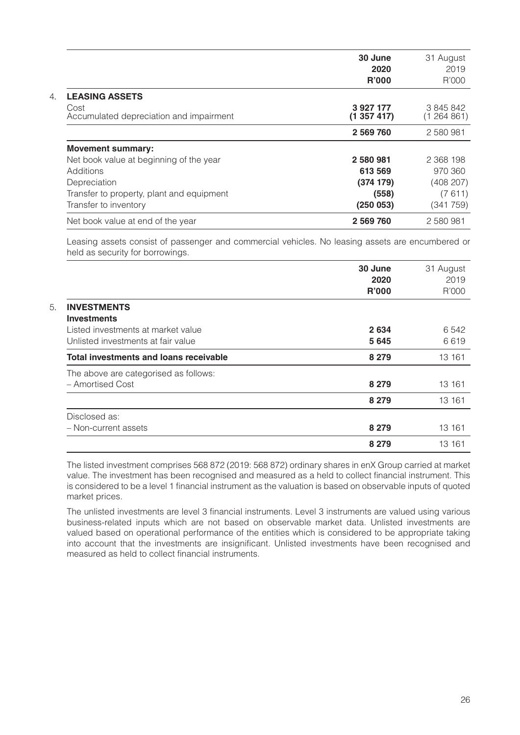|                                                 | 30 June<br>2020<br><b>R'000</b> | 31 August<br>2019<br>R'000 |
|-------------------------------------------------|---------------------------------|----------------------------|
| <b>LEASING ASSETS</b>                           |                                 |                            |
| Cost<br>Accumulated depreciation and impairment | 3 9 27 177<br>(1357417)         | 3 845 842<br>(1264861)     |
|                                                 | 2 569 760                       | 2 580 981                  |
| <b>Movement summary:</b>                        |                                 |                            |
| Net book value at beginning of the year         | 2 580 981                       | 2 368 198                  |
| Additions                                       | 613 569                         | 970 360                    |
| Depreciation                                    | (374179)                        | (408 207)                  |
| Transfer to property, plant and equipment       | (558)                           | (7611)                     |
| Transfer to inventory                           | (250053)                        | (341759)                   |
| Net book value at end of the year               | 2 569 760                       | 2580981                    |

Leasing assets consist of passenger and commercial vehicles. No leasing assets are encumbered or held as security for borrowings.

|                                        | 30 June<br>2020 | 31 August<br>2019 |
|----------------------------------------|-----------------|-------------------|
|                                        | <b>R'000</b>    | R'000             |
| <b>INVESTMENTS</b>                     |                 |                   |
| <b>Investments</b>                     |                 |                   |
| Listed investments at market value     | 2634            | 6542              |
| Unlisted investments at fair value     | 5645            | 6619              |
| Total investments and loans receivable | 8 2 7 9         | 13 161            |
| The above are categorised as follows:  |                 |                   |
| - Amortised Cost                       | 8 2 7 9         | 13 161            |
|                                        | 8 2 7 9         | 13 161            |
| Disclosed as:                          |                 |                   |
| - Non-current assets                   | 8 2 7 9         | 13 161            |
|                                        | 8 2 7 9         | 13 161            |

The listed investment comprises 568 872 (2019: 568 872) ordinary shares in enX Group carried at market value. The investment has been recognised and measured as a held to collect financial instrument. This is considered to be a level 1 financial instrument as the valuation is based on observable inputs of quoted market prices.

The unlisted investments are level 3 financial instruments. Level 3 instruments are valued using various business-related inputs which are not based on observable market data. Unlisted investments are valued based on operational performance of the entities which is considered to be appropriate taking into account that the investments are insignificant. Unlisted investments have been recognised and measured as held to collect financial instruments.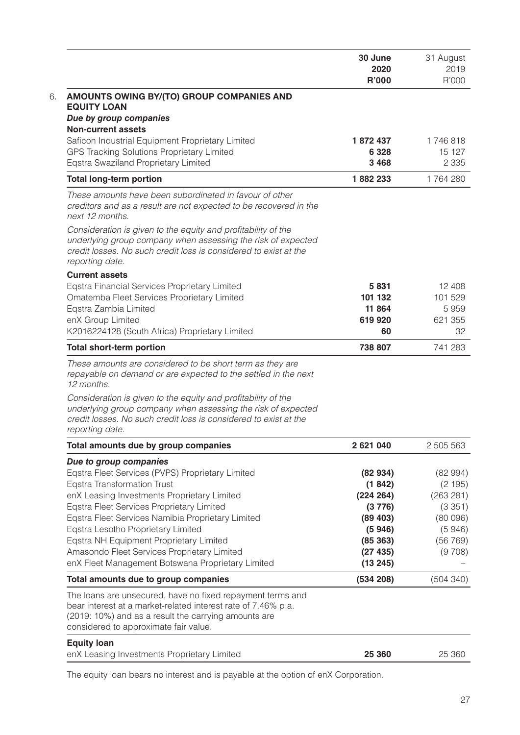|                                                                                                                                                                                                                                                                            | 30 June<br>2020<br>R'000 | 31 August<br>2019<br>R'000 |
|----------------------------------------------------------------------------------------------------------------------------------------------------------------------------------------------------------------------------------------------------------------------------|--------------------------|----------------------------|
| AMOUNTS OWING BY/(TO) GROUP COMPANIES AND<br><b>EQUITY LOAN</b>                                                                                                                                                                                                            |                          |                            |
| Due by group companies<br><b>Non-current assets</b>                                                                                                                                                                                                                        |                          |                            |
| Saficon Industrial Equipment Proprietary Limited                                                                                                                                                                                                                           | 1872437                  | 1746818                    |
| GPS Tracking Solutions Proprietary Limited                                                                                                                                                                                                                                 | 6 3 28                   | 15 127                     |
| Eqstra Swaziland Proprietary Limited                                                                                                                                                                                                                                       | 3 4 6 8                  | 2 3 3 5                    |
| <b>Total long-term portion</b>                                                                                                                                                                                                                                             | 1882233                  | 1764280                    |
| These amounts have been subordinated in favour of other<br>creditors and as a result are not expected to be recovered in the<br>next 12 months.                                                                                                                            |                          |                            |
| Consideration is given to the equity and profitability of the<br>underlying group company when assessing the risk of expected<br>credit losses. No such credit loss is considered to exist at the<br>reporting date.                                                       |                          |                            |
| <b>Current assets</b>                                                                                                                                                                                                                                                      |                          |                            |
| Eqstra Financial Services Proprietary Limited                                                                                                                                                                                                                              | 5831                     | 12 408                     |
| Omatemba Fleet Services Proprietary Limited                                                                                                                                                                                                                                | 101 132                  | 101 529                    |
| Eqstra Zambia Limited<br>enX Group Limited                                                                                                                                                                                                                                 | 11 864<br>619 920        | 5959<br>621 355            |
| K2016224128 (South Africa) Proprietary Limited                                                                                                                                                                                                                             | 60                       | 32                         |
| <b>Total short-term portion</b>                                                                                                                                                                                                                                            | 738 807                  | 741 283                    |
| These amounts are considered to be short term as they are<br>repayable on demand or are expected to the settled in the next<br>12 months.<br>Consideration is given to the equity and profitability of the<br>underlying group company when assessing the risk of expected |                          |                            |
| credit losses. No such credit loss is considered to exist at the<br>reporting date.                                                                                                                                                                                        |                          |                            |
| Total amounts due by group companies                                                                                                                                                                                                                                       | 2 621 040                | 2 505 563                  |
| Due to group companies                                                                                                                                                                                                                                                     |                          |                            |
| Eqstra Fleet Services (PVPS) Proprietary Limited                                                                                                                                                                                                                           | (82934)                  | (82994)                    |
| Eqstra Transformation Trust                                                                                                                                                                                                                                                | (1842)                   | (2195)                     |
| enX Leasing Investments Proprietary Limited                                                                                                                                                                                                                                | (224 264)                | (263 281)                  |
| Eqstra Fleet Services Proprietary Limited<br>Eqstra Fleet Services Namibia Proprietary Limited                                                                                                                                                                             | (3 776)<br>(89 403)      | (3351)<br>(80096)          |
| Eqstra Lesotho Proprietary Limited                                                                                                                                                                                                                                         | (5946)                   | (5946)                     |
| Eqstra NH Equipment Proprietary Limited                                                                                                                                                                                                                                    | (85363)                  | (56769)                    |
| Amasondo Fleet Services Proprietary Limited                                                                                                                                                                                                                                | (27435)                  | (9708)                     |
| enX Fleet Management Botswana Proprietary Limited                                                                                                                                                                                                                          | (13 245)                 |                            |
| Total amounts due to group companies                                                                                                                                                                                                                                       | (534 208)                | (504 340)                  |
| The loans are unsecured, have no fixed repayment terms and<br>bear interest at a market-related interest rate of 7.46% p.a.<br>(2019: 10%) and as a result the carrying amounts are<br>considered to approximate fair value.                                               |                          |                            |
| <b>Equity loan</b>                                                                                                                                                                                                                                                         |                          |                            |
| enX Leasing Investments Proprietary Limited                                                                                                                                                                                                                                | 25 360                   | 25 360                     |

The equity loan bears no interest and is payable at the option of enX Corporation.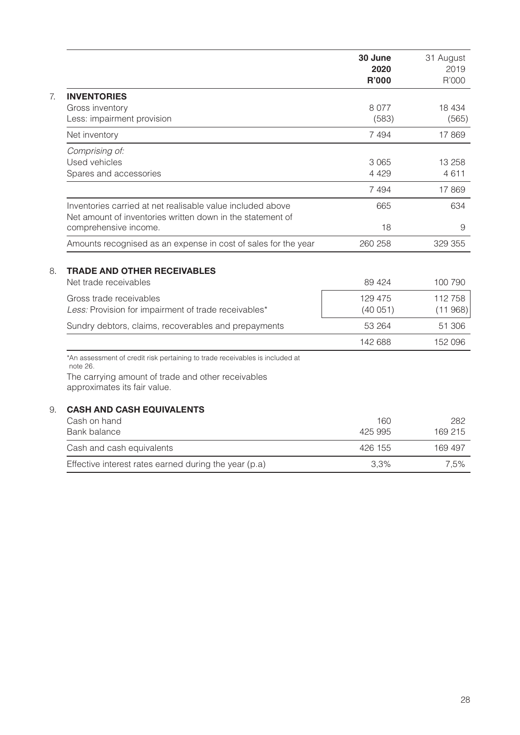| 7.<br><b>INVENTORIES</b><br>Gross inventory<br>8077                                                                             | 18 4 34 |
|---------------------------------------------------------------------------------------------------------------------------------|---------|
|                                                                                                                                 |         |
|                                                                                                                                 |         |
| Less: impairment provision<br>(583)                                                                                             | (565)   |
| 7494<br>Net inventory                                                                                                           | 17869   |
| Comprising of:                                                                                                                  |         |
| Used vehicles<br>3 0 6 5                                                                                                        | 13 258  |
| Spares and accessories<br>4 4 2 9                                                                                               | 4611    |
| 7 4 9 4                                                                                                                         | 17869   |
| Inventories carried at net realisable value included above<br>665<br>Net amount of inventories written down in the statement of | 634     |
| comprehensive income.<br>18                                                                                                     | 9       |
| 260 258<br>Amounts recognised as an expense in cost of sales for the year                                                       | 329 355 |
|                                                                                                                                 |         |
| <b>TRADE AND OTHER RECEIVABLES</b><br>8.<br>Net trade receivables<br>89 4 24                                                    | 100 790 |
|                                                                                                                                 |         |
| 129 475<br>Gross trade receivables                                                                                              | 112758  |
| (40051)<br>Less: Provision for impairment of trade receivables*                                                                 | (11968) |
| 53 264<br>Sundry debtors, claims, recoverables and prepayments                                                                  | 51 306  |
| 142 688                                                                                                                         | 152 096 |
| *An assessment of credit risk pertaining to trade receivables is included at<br>note 26.                                        |         |
| The carrying amount of trade and other receivables<br>approximates its fair value.                                              |         |
| <b>CASH AND CASH EQUIVALENTS</b><br>9.                                                                                          |         |
| Cash on hand<br>160                                                                                                             | 282     |
| <b>Bank balance</b><br>425 995                                                                                                  | 169 215 |
| 426 155<br>Cash and cash equivalents                                                                                            | 169 497 |

Effective interest rates earned during the year (p.a) 3,3% 3,3% 7,5%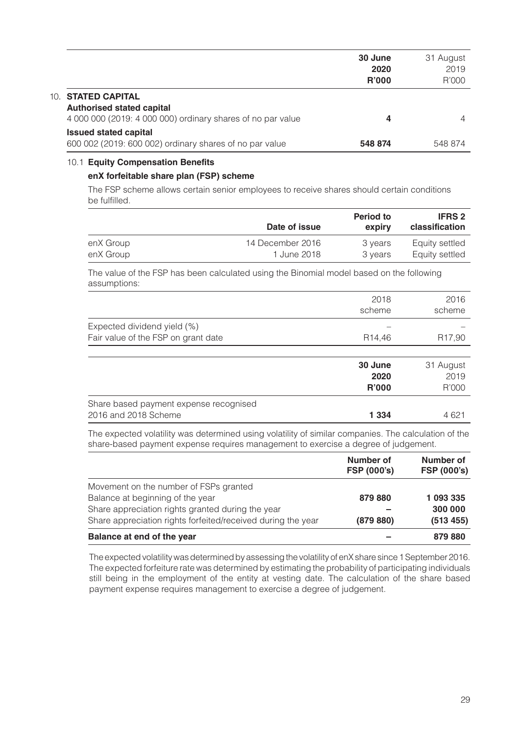|                                                             | 30 June<br>2020<br><b>R'000</b> | 31 August<br>2019<br>R'000 |
|-------------------------------------------------------------|---------------------------------|----------------------------|
| 10. STATED CAPITAL                                          |                                 |                            |
| <b>Authorised stated capital</b>                            |                                 |                            |
| 4 000 000 (2019: 4 000 000) ordinary shares of no par value | 4                               | 4                          |
| <b>Issued stated capital</b>                                |                                 |                            |
| 600 002 (2019: 600 002) ordinary shares of no par value     | 548 874                         | 548 874                    |

#### 10.1 **Equity Compensation Benefits**

#### **enX forfeitable share plan (FSP) scheme**

The FSP scheme allows certain senior employees to receive shares should certain conditions be fulfilled.

|           | Date of issue    | Period to<br>expiry | <b>IFRS 2</b><br>classification |
|-----------|------------------|---------------------|---------------------------------|
| enX Group | 14 December 2016 | 3 years             | <b>Equity settled</b>           |
| enX Group | 1 June 2018      | 3 vears             | Equity settled                  |

The value of the FSP has been calculated using the Binomial model based on the following assumptions:

|                                     | 2018               | 2016               |
|-------------------------------------|--------------------|--------------------|
|                                     | scheme             | scheme             |
| Expected dividend yield (%)         |                    |                    |
| Fair value of the FSP on grant date | R <sub>14.46</sub> | R <sub>17.90</sub> |
|                                     |                    |                    |

|                                        | 30 June      | 31 August |
|----------------------------------------|--------------|-----------|
|                                        | 2020         | 2019      |
|                                        | <b>R'000</b> | R'000     |
| Share based payment expense recognised |              |           |
| 2016 and 2018 Scheme                   | 1 3 3 4      | 4 621     |

The expected volatility was determined using volatility of similar companies. The calculation of the share-based payment expense requires management to exercise a degree of judgement.

|                                                              | Number of<br><b>FSP (000's)</b> | Number of<br><b>FSP (000's)</b> |
|--------------------------------------------------------------|---------------------------------|---------------------------------|
| Movement on the number of FSPs granted                       |                                 |                                 |
| Balance at beginning of the year                             | 879 880                         | 1 093 335                       |
| Share appreciation rights granted during the year            |                                 | 300 000                         |
| Share appreciation rights forfeited/received during the year | (879 880)                       | (513 455)                       |
| Balance at end of the year                                   |                                 | 879 880                         |

The expected volatility was determined by assessing the volatility of enX share since 1 September 2016. The expected forfeiture rate was determined by estimating the probability of participating individuals still being in the employment of the entity at vesting date. The calculation of the share based payment expense requires management to exercise a degree of judgement.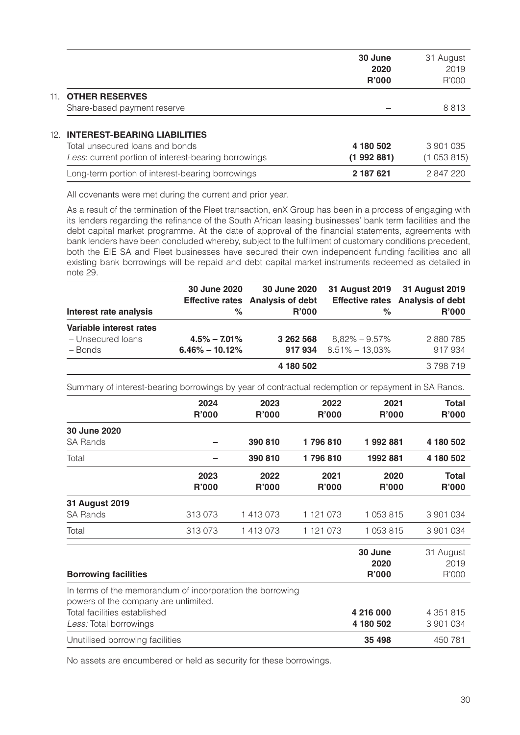|    |                                                      | 30 June<br>2020<br><b>R'000</b> | 31 August<br>2019<br>R'000 |
|----|------------------------------------------------------|---------------------------------|----------------------------|
| 11 | <b>OTHER RESERVES</b>                                |                                 |                            |
|    | Share-based payment reserve                          |                                 | 8813                       |
|    | 12. INTEREST-BEARING LIABILITIES                     |                                 |                            |
|    | Total unsecured loans and bonds                      | 4 180 502                       | 3 901 035                  |
|    | Less: current portion of interest-bearing borrowings | (1992881)                       | (1053815)                  |
|    | Long-term portion of interest-bearing borrowings     | 2 187 621                       | 2847220                    |

All covenants were met during the current and prior year.

As a result of the termination of the Fleet transaction, enX Group has been in a process of engaging with its lenders regarding the refinance of the South African leasing businesses' bank term facilities and the debt capital market programme. At the date of approval of the financial statements, agreements with bank lenders have been concluded whereby, subject to the fulfilment of customary conditions precedent, both the EIE SA and Fleet businesses have secured their own independent funding facilities and all existing bank borrowings will be repaid and debt capital market instruments redeemed as detailed in note 29.

| Interest rate analysis  | 30 June 2020<br>℅  | 30 June 2020<br><b>Effective rates Analysis of debt</b><br><b>R'000</b> | ℅                  | 31 August 2019 31 August 2019<br><b>Effective rates</b> Analysis of debt<br><b>R'000</b> |
|-------------------------|--------------------|-------------------------------------------------------------------------|--------------------|------------------------------------------------------------------------------------------|
| Variable interest rates |                    |                                                                         |                    |                                                                                          |
| - Unsecured loans       | $4.5\% - 7.01\%$   | 3 262 568                                                               | $8.82\% - 9.57\%$  | 2880785                                                                                  |
| – Bonds                 | $6.46\% - 10.12\%$ | 917 934                                                                 | $8.51\% - 13.03\%$ | 917934                                                                                   |
|                         |                    | 4 180 502                                                               |                    | 3798719                                                                                  |

Summary of interest-bearing borrowings by year of contractual redemption or repayment in SA Rands.

|                             | 2024         | 2023         | 2022         | 2021         | Total        |
|-----------------------------|--------------|--------------|--------------|--------------|--------------|
|                             | <b>R'000</b> | <b>R'000</b> | <b>R'000</b> | <b>R'000</b> | <b>R'000</b> |
| 30 June 2020                |              |              |              |              |              |
| <b>SA Rands</b>             |              | 390 810      | 1796810      | 1992881      | 4 180 502    |
| Total                       |              | 390 810      | 1796810      | 1992 881     | 4 180 502    |
|                             | 2023         | 2022         | 2021         | 2020         | <b>Total</b> |
|                             | <b>R'000</b> | <b>R'000</b> | <b>R'000</b> | <b>R'000</b> | R'000        |
| 31 August 2019              |              |              |              |              |              |
| <b>SA Rands</b>             | 313073       | 1 413 073    | 1 121 073    | 1 053 815    | 3 901 034    |
| Total                       | 313073       | 1 413 073    | 1 121 073    | 1 053 815    | 3 901 034    |
|                             |              |              |              | 30 June      | 31 August    |
|                             |              |              |              | 2020         | 2019         |
| <b>Borrowing facilities</b> |              |              |              | <b>R'000</b> | R'000        |

| In terms of the memorandum of incorporation the borrowing<br>powers of the company are unlimited. |           |           |
|---------------------------------------------------------------------------------------------------|-----------|-----------|
| Total facilities established                                                                      | 4 216 000 | 4 351 815 |
| Less: Total borrowings                                                                            | 4 180 502 | 3 901 034 |
| Unutilised borrowing facilities                                                                   | 35 498    | 450 781   |

No assets are encumbered or held as security for these borrowings.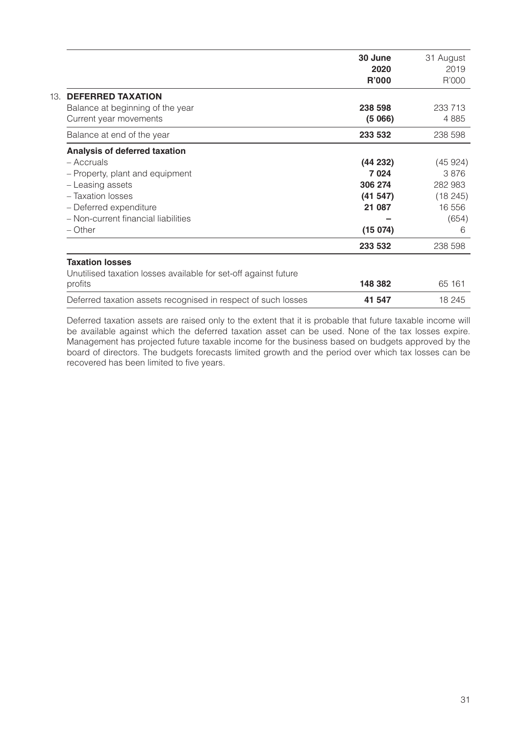|                                                                 | 30 June<br>2020<br><b>R'000</b> | 31 August<br>2019<br>R'000 |
|-----------------------------------------------------------------|---------------------------------|----------------------------|
| <b>DEFERRED TAXATION</b><br>13.                                 |                                 |                            |
| Balance at beginning of the year                                | 238 598                         | 233 713                    |
| Current year movements                                          | (5066)                          | 4 8 8 5                    |
| Balance at end of the year                                      | 233 532                         | 238 598                    |
| Analysis of deferred taxation                                   |                                 |                            |
| - Accruals                                                      | (44232)                         | (45924)                    |
| - Property, plant and equipment                                 | 7024                            | 3876                       |
| - Leasing assets                                                | 306 274                         | 282 983                    |
| - Taxation losses                                               | (41547)                         | (18245)                    |
| - Deferred expenditure                                          | 21 087                          | 16 556                     |
| - Non-current financial liabilities                             |                                 | (654)                      |
| - Other                                                         | (15074)                         | 6                          |
|                                                                 | 233 532                         | 238 598                    |
| <b>Taxation losses</b>                                          |                                 |                            |
| Unutilised taxation losses available for set-off against future |                                 |                            |
| profits                                                         | 148 382                         | 65 161                     |
| Deferred taxation assets recognised in respect of such losses   | 41 547                          | 18 245                     |

Deferred taxation assets are raised only to the extent that it is probable that future taxable income will be available against which the deferred taxation asset can be used. None of the tax losses expire. Management has projected future taxable income for the business based on budgets approved by the board of directors. The budgets forecasts limited growth and the period over which tax losses can be recovered has been limited to five years.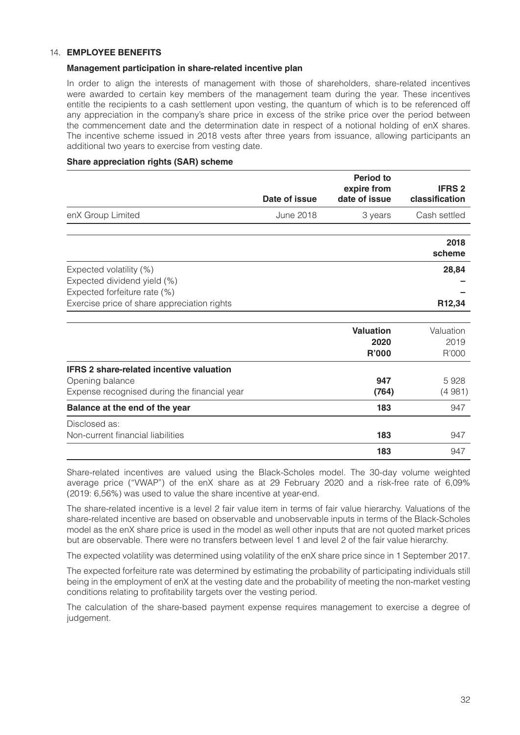#### 14. EMPLOYEE BENEFITS

#### **Management participation in share-related incentive plan**

In order to align the interests of management with those of shareholders, share-related incentives were awarded to certain key members of the management team during the year. These incentives entitle the recipients to a cash settlement upon vesting, the quantum of which is to be referenced off any appreciation in the company's share price in excess of the strike price over the period between the commencement date and the determination date in respect of a notional holding of enX shares. The incentive scheme issued in 2018 vests after three years from issuance, allowing participants an additional two years to exercise from vesting date.

#### **Share appreciation rights (SAR) scheme**

|                                                 | Date of issue    | <b>Period to</b><br>expire from<br>date of issue | <b>IFRS 2</b><br>classification |
|-------------------------------------------------|------------------|--------------------------------------------------|---------------------------------|
| enX Group Limited                               | <b>June 2018</b> | 3 years                                          | Cash settled                    |
|                                                 |                  |                                                  |                                 |
|                                                 |                  |                                                  | 2018<br>scheme                  |
| Expected volatility (%)                         |                  |                                                  | 28,84                           |
| Expected dividend yield (%)                     |                  |                                                  |                                 |
| Expected forfeiture rate (%)                    |                  |                                                  |                                 |
| Exercise price of share appreciation rights     |                  |                                                  | R12,34                          |
|                                                 |                  |                                                  |                                 |
|                                                 |                  | <b>Valuation</b>                                 | Valuation                       |
|                                                 |                  | 2020                                             | 2019                            |
|                                                 |                  | <b>R'000</b>                                     | R'000                           |
| <b>IFRS 2 share-related incentive valuation</b> |                  |                                                  |                                 |
| Opening balance                                 |                  | 947                                              | 5928                            |
| Expense recognised during the financial year    |                  | (764)                                            | (4981)                          |
| Balance at the end of the year                  |                  | 183                                              | 947                             |
| Disclosed as:                                   |                  |                                                  |                                 |
| Non-current financial liabilities               |                  | 183                                              | 947                             |
|                                                 |                  | 183                                              | 947                             |

Share-related incentives are valued using the Black-Scholes model. The 30-day volume weighted average price ("VWAP") of the enX share as at 29 February 2020 and a risk-free rate of 6,09% (2019: 6,56%) was used to value the share incentive at year-end.

The share-related incentive is a level 2 fair value item in terms of fair value hierarchy. Valuations of the share-related incentive are based on observable and unobservable inputs in terms of the Black-Scholes model as the enX share price is used in the model as well other inputs that are not quoted market prices but are observable. There were no transfers between level 1 and level 2 of the fair value hierarchy.

The expected volatility was determined using volatility of the enX share price since in 1 September 2017.

The expected forfeiture rate was determined by estimating the probability of participating individuals still being in the employment of enX at the vesting date and the probability of meeting the non-market vesting conditions relating to profitability targets over the vesting period.

The calculation of the share-based payment expense requires management to exercise a degree of judgement.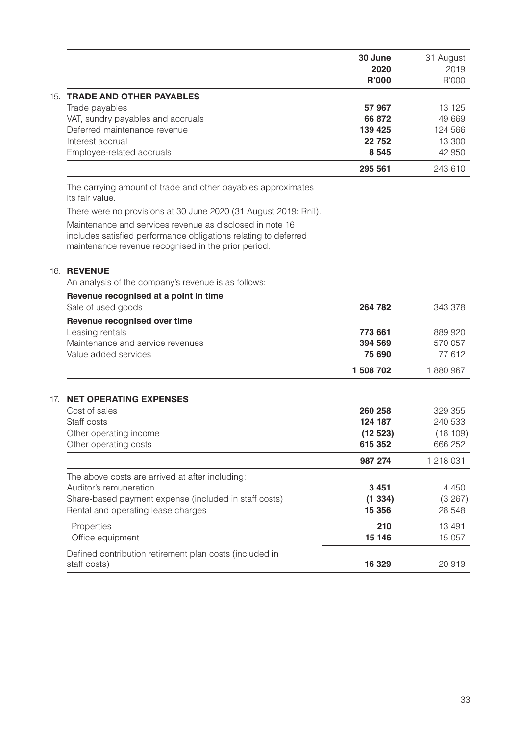|     |                                                                                                                                                                                    | 30 June<br>2020 | 31 August<br>2019 |
|-----|------------------------------------------------------------------------------------------------------------------------------------------------------------------------------------|-----------------|-------------------|
|     |                                                                                                                                                                                    | <b>R'000</b>    | R'000             |
| 15. | <b>TRADE AND OTHER PAYABLES</b>                                                                                                                                                    |                 |                   |
|     | Trade payables                                                                                                                                                                     | 57967           | 13 1 25           |
|     | VAT, sundry payables and accruals                                                                                                                                                  | 66 872          | 49 669            |
|     | Deferred maintenance revenue                                                                                                                                                       | 139 425         | 124 566           |
|     | Interest accrual                                                                                                                                                                   | 22752           | 13 300            |
|     | Employee-related accruals                                                                                                                                                          | 8545            | 42 950            |
|     |                                                                                                                                                                                    | 295 561         | 243 610           |
|     | The carrying amount of trade and other payables approximates<br>its fair value.                                                                                                    |                 |                   |
|     | There were no provisions at 30 June 2020 (31 August 2019: Rnil).                                                                                                                   |                 |                   |
|     | Maintenance and services revenue as disclosed in note 16<br>includes satisfied performance obligations relating to deferred<br>maintenance revenue recognised in the prior period. |                 |                   |
|     | 16. REVENUE                                                                                                                                                                        |                 |                   |
|     | An analysis of the company's revenue is as follows:                                                                                                                                |                 |                   |
|     | Revenue recognised at a point in time                                                                                                                                              |                 |                   |
|     | Sale of used goods                                                                                                                                                                 | 264 782         | 343 378           |
|     | Revenue recognised over time                                                                                                                                                       |                 |                   |
|     | Leasing rentals                                                                                                                                                                    | 773 661         | 889 920           |
|     | Maintenance and service revenues                                                                                                                                                   | 394 569         | 570 057           |
|     | Value added services                                                                                                                                                               | 75 690          | 77 612            |
|     |                                                                                                                                                                                    | 1 508 702       | 1880967           |
|     |                                                                                                                                                                                    |                 |                   |
|     | 17. NET OPERATING EXPENSES<br>Cost of sales                                                                                                                                        | 260 258         | 329 355           |
|     | Staff costs                                                                                                                                                                        | 124 187         | 240 533           |
|     | Other operating income                                                                                                                                                             | (12523)         | (18109)           |
|     | Other operating costs                                                                                                                                                              | 615 352         | 666 252           |
|     |                                                                                                                                                                                    | 987 274         | 1 218 031         |
|     | The above costs are arrived at after including:                                                                                                                                    |                 |                   |
|     | Auditor's remuneration                                                                                                                                                             | 3 4 5 1         | 4 4 5 0           |
|     | Share-based payment expense (included in staff costs)                                                                                                                              | (1334)          | (3 267)           |
|     | Rental and operating lease charges                                                                                                                                                 | 15 356          | 28 548            |
|     | Properties                                                                                                                                                                         | 210             | 13 4 91           |
|     | Office equipment                                                                                                                                                                   | 15 146          | 15 057            |
|     | Defined contribution retirement plan costs (included in                                                                                                                            |                 |                   |
|     | staff costs)                                                                                                                                                                       | 16 329          | 20919             |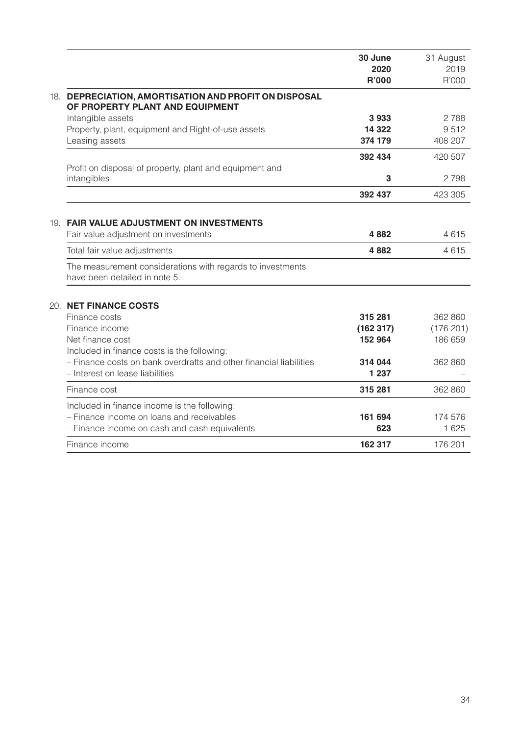|                                 |                                                                                             | 30 June<br>2020<br><b>R'000</b> | 31 August<br>2019<br>R'000 |
|---------------------------------|---------------------------------------------------------------------------------------------|---------------------------------|----------------------------|
|                                 | 18. DEPRECIATION, AMORTISATION AND PROFIT ON DISPOSAL<br>OF PROPERTY PLANT AND EQUIPMENT    |                                 |                            |
| Intangible assets               |                                                                                             | 3933                            | 2788                       |
|                                 | Property, plant, equipment and Right-of-use assets                                          | 14 3 22                         | 9512                       |
| Leasing assets                  |                                                                                             | 374 179                         | 408 207                    |
|                                 |                                                                                             | 392 434                         | 420 507                    |
|                                 | Profit on disposal of property, plant and equipment and                                     |                                 |                            |
| intangibles                     |                                                                                             | 3                               | 2798                       |
|                                 |                                                                                             | 392 437                         | 423 305                    |
|                                 |                                                                                             |                                 |                            |
|                                 | 19. FAIR VALUE ADJUSTMENT ON INVESTMENTS<br>Fair value adjustment on investments            | 4882                            | 4615                       |
| Total fair value adjustments    |                                                                                             | 4882                            | 4615                       |
|                                 | The measurement considerations with regards to investments<br>have been detailed in note 5. |                                 |                            |
| 20. NET FINANCE COSTS           |                                                                                             |                                 |                            |
| Finance costs                   |                                                                                             | 315 281                         | 362 860                    |
| Finance income                  |                                                                                             | (162317)                        | (176201)                   |
| Net finance cost                |                                                                                             | 152 964                         | 186 659                    |
|                                 | Included in finance costs is the following:                                                 |                                 |                            |
|                                 | - Finance costs on bank overdrafts and other financial liabilities                          | 314 044                         | 362 860                    |
| - Interest on lease liabilities |                                                                                             | 1 2 3 7                         |                            |
| Finance cost                    |                                                                                             | 315 281                         | 362 860                    |
|                                 | Included in finance income is the following:                                                |                                 |                            |
|                                 | - Finance income on loans and receivables                                                   | 161 694                         | 174 576                    |
|                                 | - Finance income on cash and cash equivalents                                               | 623                             | 1 6 2 5                    |
| Finance income                  |                                                                                             | 162 317                         | 176 201                    |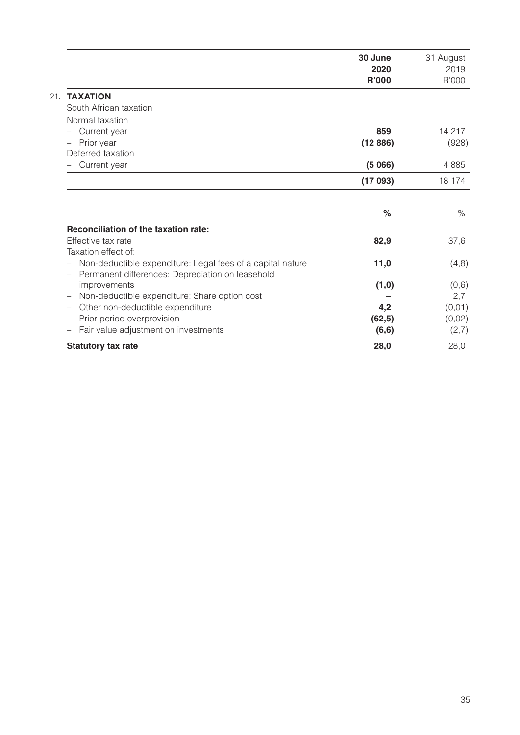|                                                                                                                | 30 June<br>2020<br><b>R'000</b> | 31 August<br>2019<br>R'000 |
|----------------------------------------------------------------------------------------------------------------|---------------------------------|----------------------------|
| 21. <b>TAXATION</b>                                                                                            |                                 |                            |
| South African taxation                                                                                         |                                 |                            |
| Normal taxation                                                                                                |                                 |                            |
| Current year                                                                                                   | 859                             | 14 217                     |
| Prior year                                                                                                     | (12886)                         | (928)                      |
| Deferred taxation                                                                                              |                                 |                            |
| Current year                                                                                                   | (5066)                          | 4885                       |
|                                                                                                                | (17093)                         | 18 174                     |
|                                                                                                                |                                 |                            |
|                                                                                                                | %                               | $\%$                       |
| <b>Reconciliation of the taxation rate:</b>                                                                    |                                 |                            |
| Effective tax rate                                                                                             | 82,9                            | 37,6                       |
| Taxation effect of:                                                                                            |                                 |                            |
| Non-deductible expenditure: Legal fees of a capital nature<br>Permanent differences: Depreciation on leasehold | 11,0                            | (4,8)                      |
| improvements                                                                                                   | (1,0)                           | (0,6)                      |
| Non-deductible expenditure: Share option cost<br>$\overline{\phantom{m}}$                                      |                                 | 2,7                        |
| Other non-deductible expenditure                                                                               | 4,2                             | (0,01)                     |
| Prior period overprovision                                                                                     | (62, 5)                         | (0,02)                     |
| Fair value adjustment on investments                                                                           | (6, 6)                          | (2,7)                      |
| <b>Statutory tax rate</b>                                                                                      | 28,0                            | 28,0                       |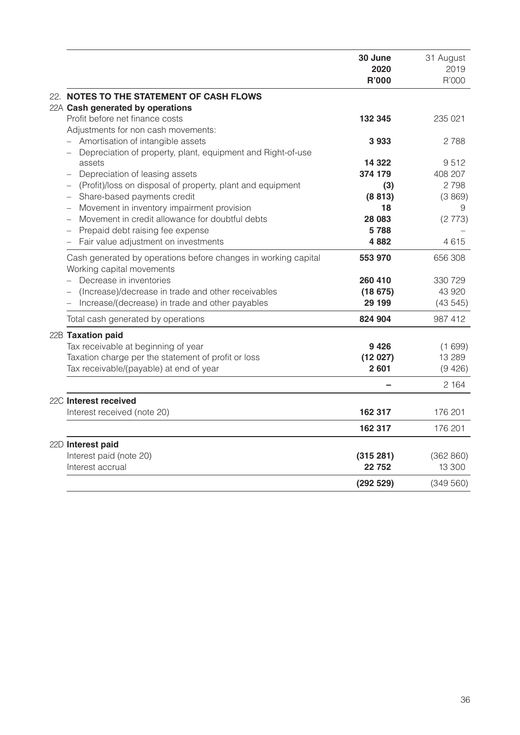|                                                                                             | 30 June<br>2020<br>R'000 | 31 August<br>2019<br>R'000 |
|---------------------------------------------------------------------------------------------|--------------------------|----------------------------|
| 22. NOTES TO THE STATEMENT OF CASH FLOWS                                                    |                          |                            |
| 22A Cash generated by operations                                                            |                          |                            |
| Profit before net finance costs                                                             | 132 345                  | 235 021                    |
| Adjustments for non cash movements:                                                         |                          |                            |
| Amortisation of intangible assets                                                           | 3933                     | 2788                       |
| Depreciation of property, plant, equipment and Right-of-use<br>$\overline{\phantom{0}}$     |                          |                            |
| assets                                                                                      | 14 3 22                  | 9512                       |
| Depreciation of leasing assets                                                              | 374 179                  | 408 207                    |
| (Profit)/loss on disposal of property, plant and equipment                                  | (3)                      | 2798                       |
| Share-based payments credit                                                                 | (8813)                   | (3869)                     |
| Movement in inventory impairment provision                                                  | 18                       | 9                          |
| Movement in credit allowance for doubtful debts                                             | 28 083                   | (2773)                     |
| Prepaid debt raising fee expense                                                            | 5788                     |                            |
| Fair value adjustment on investments                                                        | 4882                     | 4615                       |
| Cash generated by operations before changes in working capital<br>Working capital movements | 553 970                  | 656 308                    |
| Decrease in inventories                                                                     | 260 410                  | 330 729                    |
| (Increase)/decrease in trade and other receivables                                          | (18675)                  | 43 920                     |
| Increase/(decrease) in trade and other payables                                             | 29 199                   | (43545)                    |
| Total cash generated by operations                                                          | 824 904                  | 987 412                    |
| 22B Taxation paid                                                                           |                          |                            |
| Tax receivable at beginning of year                                                         | 9426                     | (1699)                     |
| Taxation charge per the statement of profit or loss                                         | (12027)                  | 13 289                     |
| Tax receivable/(payable) at end of year                                                     | 2 601                    | (9426)                     |
|                                                                                             |                          | 2 1 6 4                    |
| 22C Interest received                                                                       |                          |                            |
| Interest received (note 20)                                                                 | 162 317                  | 176 201                    |
|                                                                                             | 162 317                  | 176 201                    |
| 22D Interest paid                                                                           |                          |                            |
| Interest paid (note 20)                                                                     | (315 281)                | (362 860)                  |
| Interest accrual                                                                            | 22752                    | 13 300                     |
|                                                                                             | (292529)                 | (349560)                   |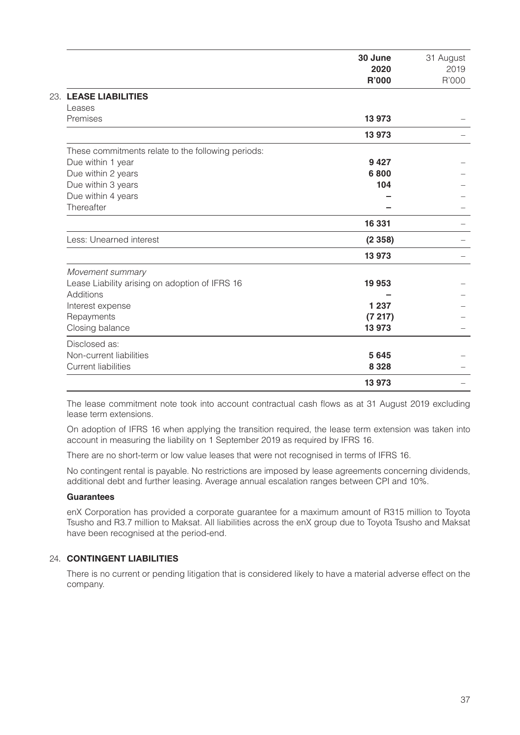|                                                    | 30 June<br>2020<br>R'000 | 31 August<br>2019<br>R'000 |
|----------------------------------------------------|--------------------------|----------------------------|
| 23. LEASE LIABILITIES                              |                          |                            |
| Leases                                             |                          |                            |
| Premises                                           | 13 973                   |                            |
|                                                    | 13 973                   |                            |
| These commitments relate to the following periods: |                          |                            |
| Due within 1 year                                  | 9427                     |                            |
| Due within 2 years                                 | 6800                     |                            |
| Due within 3 years                                 | 104                      |                            |
| Due within 4 years                                 |                          |                            |
| Thereafter                                         |                          |                            |
|                                                    | 16 331                   |                            |
| Less: Unearned interest                            | (2358)                   |                            |
|                                                    | 13 973                   |                            |
| Movement summary                                   |                          |                            |
| Lease Liability arising on adoption of IFRS 16     | 19 953                   |                            |
| <b>Additions</b>                                   |                          |                            |
| Interest expense                                   | 1 2 3 7                  |                            |
| Repayments                                         | (7217)                   |                            |
| Closing balance                                    | 13 973                   |                            |
| Disclosed as:                                      |                          |                            |
| Non-current liabilities                            | 5645                     |                            |
| <b>Current liabilities</b>                         | 8 3 2 8                  |                            |
|                                                    | 13 973                   |                            |

The lease commitment note took into account contractual cash flows as at 31 August 2019 excluding lease term extensions.

On adoption of IFRS 16 when applying the transition required, the lease term extension was taken into account in measuring the liability on 1 September 2019 as required by IFRS 16.

There are no short-term or low value leases that were not recognised in terms of IFRS 16.

No contingent rental is payable. No restrictions are imposed by lease agreements concerning dividends, additional debt and further leasing. Average annual escalation ranges between CPI and 10%.

#### **Guarantees**

enX Corporation has provided a corporate guarantee for a maximum amount of R315 million to Toyota Tsusho and R3.7 million to Maksat. All liabilities across the enX group due to Toyota Tsusho and Maksat have been recognised at the period-end.

# 24. CONTINGENT LIABILITIES

There is no current or pending litigation that is considered likely to have a material adverse effect on the company.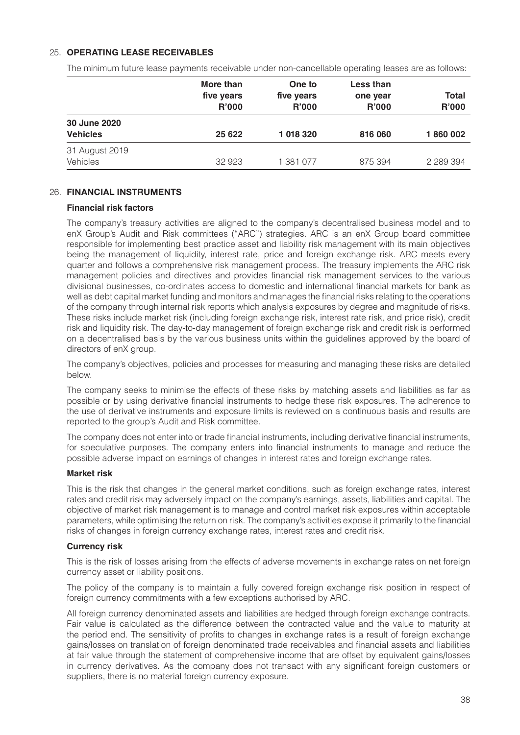### 25. OPERATING LEASE RECEIVABLES

The minimum future lease payments receivable under non-cancellable operating leases are as follows:

|                                 | More than<br>five years<br><b>R'000</b> | One to<br>five years<br><b>R'000</b> | Less than<br>one year<br><b>R'000</b> | <b>Total</b><br>R'000 |
|---------------------------------|-----------------------------------------|--------------------------------------|---------------------------------------|-----------------------|
| 30 June 2020<br><b>Vehicles</b> | 25 6 22                                 | 1 018 320                            | 816 060                               | 1860002               |
| 31 August 2019<br>Vehicles      | 32 923                                  | 1 381 077                            | 875 394                               | 2 289 394             |

#### 26. FINANCIAL INSTRUMENTS

#### **Financial risk factors**

The company's treasury activities are aligned to the company's decentralised business model and to enX Group's Audit and Risk committees ("ARC") strategies. ARC is an enX Group board committee responsible for implementing best practice asset and liability risk management with its main objectives being the management of liquidity, interest rate, price and foreign exchange risk. ARC meets every quarter and follows a comprehensive risk management process. The treasury implements the ARC risk management policies and directives and provides financial risk management services to the various divisional businesses, co-ordinates access to domestic and international financial markets for bank as well as debt capital market funding and monitors and manages the financial risks relating to the operations of the company through internal risk reports which analysis exposures by degree and magnitude of risks. These risks include market risk (including foreign exchange risk, interest rate risk, and price risk), credit risk and liquidity risk. The day-to-day management of foreign exchange risk and credit risk is performed on a decentralised basis by the various business units within the guidelines approved by the board of directors of enX group.

The company's objectives, policies and processes for measuring and managing these risks are detailed below.

The company seeks to minimise the effects of these risks by matching assets and liabilities as far as possible or by using derivative financial instruments to hedge these risk exposures. The adherence to the use of derivative instruments and exposure limits is reviewed on a continuous basis and results are reported to the group's Audit and Risk committee.

The company does not enter into or trade financial instruments, including derivative financial instruments, for speculative purposes. The company enters into financial instruments to manage and reduce the possible adverse impact on earnings of changes in interest rates and foreign exchange rates.

#### **Market risk**

This is the risk that changes in the general market conditions, such as foreign exchange rates, interest rates and credit risk may adversely impact on the company's earnings, assets, liabilities and capital. The objective of market risk management is to manage and control market risk exposures within acceptable parameters, while optimising the return on risk. The company's activities expose it primarily to the financial risks of changes in foreign currency exchange rates, interest rates and credit risk.

#### **Currency risk**

This is the risk of losses arising from the effects of adverse movements in exchange rates on net foreign currency asset or liability positions.

The policy of the company is to maintain a fully covered foreign exchange risk position in respect of foreign currency commitments with a few exceptions authorised by ARC.

All foreign currency denominated assets and liabilities are hedged through foreign exchange contracts. Fair value is calculated as the difference between the contracted value and the value to maturity at the period end. The sensitivity of profits to changes in exchange rates is a result of foreign exchange gains/losses on translation of foreign denominated trade receivables and financial assets and liabilities at fair value through the statement of comprehensive income that are offset by equivalent gains/losses in currency derivatives. As the company does not transact with any significant foreign customers or suppliers, there is no material foreign currency exposure.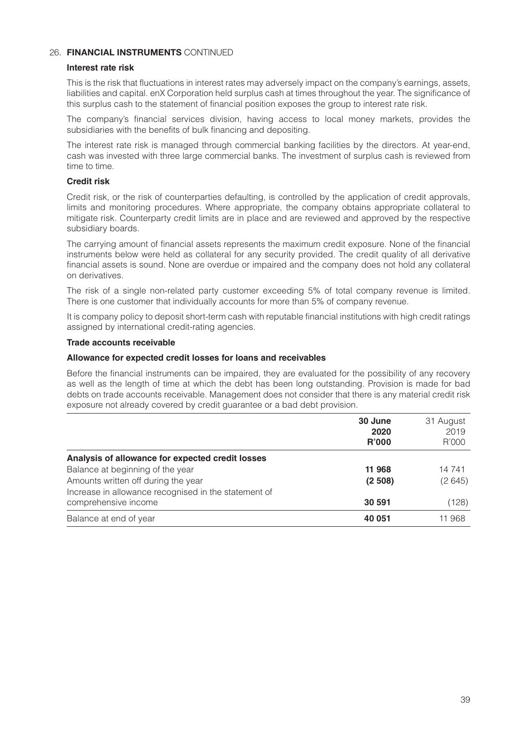#### **Interest rate risk**

This is the risk that fluctuations in interest rates may adversely impact on the company's earnings, assets, liabilities and capital. enX Corporation held surplus cash at times throughout the year. The significance of this surplus cash to the statement of financial position exposes the group to interest rate risk.

The company's financial services division, having access to local money markets, provides the subsidiaries with the benefits of bulk financing and depositing.

The interest rate risk is managed through commercial banking facilities by the directors. At year-end, cash was invested with three large commercial banks. The investment of surplus cash is reviewed from time to time.

#### **Credit risk**

Credit risk, or the risk of counterparties defaulting, is controlled by the application of credit approvals, limits and monitoring procedures. Where appropriate, the company obtains appropriate collateral to mitigate risk. Counterparty credit limits are in place and are reviewed and approved by the respective subsidiary boards.

The carrying amount of financial assets represents the maximum credit exposure. None of the financial instruments below were held as collateral for any security provided. The credit quality of all derivative financial assets is sound. None are overdue or impaired and the company does not hold any collateral on derivatives.

The risk of a single non-related party customer exceeding 5% of total company revenue is limited. There is one customer that individually accounts for more than 5% of company revenue.

It is company policy to deposit short-term cash with reputable financial institutions with high credit ratings assigned by international credit-rating agencies.

#### **Trade accounts receivable**

#### **Allowance for expected credit losses for loans and receivables**

Before the financial instruments can be impaired, they are evaluated for the possibility of any recovery as well as the length of time at which the debt has been long outstanding. Provision is made for bad debts on trade accounts receivable. Management does not consider that there is any material credit risk exposure not already covered by credit guarantee or a bad debt provision.

|                                                      | 30 June<br>2020<br><b>R'000</b> | 31 August<br>2019<br>R'000 |
|------------------------------------------------------|---------------------------------|----------------------------|
| Analysis of allowance for expected credit losses     |                                 |                            |
| Balance at beginning of the year                     | 11 968                          | 14 741                     |
| Amounts written off during the year                  | (2508)                          | (2645)                     |
| Increase in allowance recognised in the statement of |                                 |                            |
| comprehensive income                                 | 30 591                          | (128)                      |
| Balance at end of year                               | 40 051                          | 11 968                     |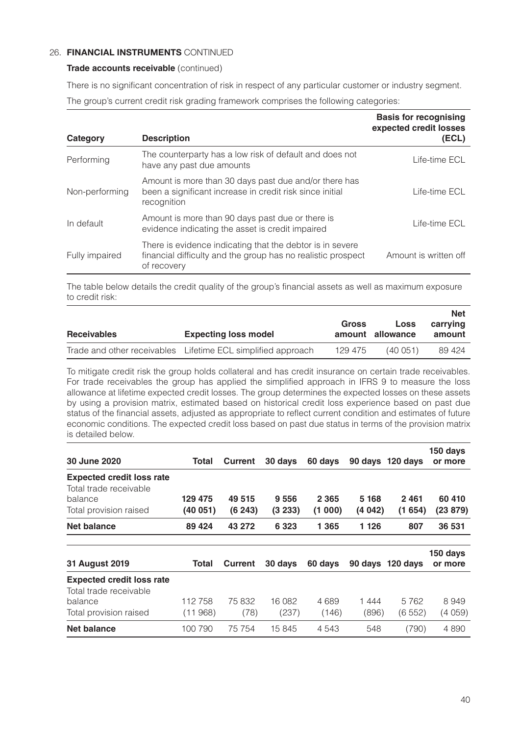### **Trade accounts receivable** (continued)

There is no significant concentration of risk in respect of any particular customer or industry segment.

The group's current credit risk grading framework comprises the following categories:

| Category       | <b>Description</b>                                                                                                                       | <b>Basis for recognising</b><br>expected credit losses<br>(ECL) |
|----------------|------------------------------------------------------------------------------------------------------------------------------------------|-----------------------------------------------------------------|
| Performing     | The counterparty has a low risk of default and does not<br>have any past due amounts                                                     | Life-time ECL                                                   |
| Non-performing | Amount is more than 30 days past due and/or there has<br>been a significant increase in credit risk since initial<br>recognition         | Life-time ECL                                                   |
| In default     | Amount is more than 90 days past due or there is<br>evidence indicating the asset is credit impaired                                     | Life-time ECL                                                   |
| Fully impaired | There is evidence indicating that the debtor is in severe<br>financial difficulty and the group has no realistic prospect<br>of recovery | Amount is written off                                           |

The table below details the credit quality of the group's financial assets as well as maximum exposure to credit risk:

|                    |                                                              |         |                  | <b>Net</b> |
|--------------------|--------------------------------------------------------------|---------|------------------|------------|
|                    |                                                              | Gross   | Loss             | carrying   |
| <b>Receivables</b> | <b>Expecting loss model</b>                                  |         | amount allowance | amount     |
|                    | Trade and other receivables Lifetime ECL simplified approach | 129 475 | (40051)          | 89 424     |

To mitigate credit risk the group holds collateral and has credit insurance on certain trade receivables. For trade receivables the group has applied the simplified approach in IFRS 9 to measure the loss allowance at lifetime expected credit losses. The group determines the expected losses on these assets by using a provision matrix, estimated based on historical credit loss experience based on past due status of the financial assets, adjusted as appropriate to reflect current condition and estimates of future economic conditions. The expected credit loss based on past due status in terms of the provision matrix is detailed below.

| 30 June 2020                                               | Total   | Current | 30 days | 60 days |         | 90 days 120 days | 150 days<br>or more |
|------------------------------------------------------------|---------|---------|---------|---------|---------|------------------|---------------------|
| <b>Expected credit loss rate</b><br>Total trade receivable |         |         |         |         |         |                  |                     |
| balance                                                    | 129 475 | 49 515  | 9556    | 2 3 6 5 | 5 1 6 8 | 2461             | 60 410              |
| Total provision raised                                     | (40051) | (6243)  | (3 233) | (1000)  | (4 042) | (1654)           | (23 879)            |
| Net balance                                                | 89 4 24 | 43 272  | 6 3 2 3 | 1 365   | 1 1 2 6 | 807              | 36 531              |
|                                                            |         |         |         |         |         |                  |                     |
| 31 August 2019                                             | Total   | Current | 30 days | 60 days | 90 days | 120 days         | 150 days<br>or more |
|                                                            |         |         |         |         |         |                  |                     |
| <b>Expected credit loss rate</b><br>Total trade receivable |         |         |         |         |         |                  |                     |
| balance                                                    | 112758  | 75 832  | 16 082  | 4689    | 1444    | 5762             | 8949                |
| Total provision raised                                     | (11968) | (78)    | (237)   | (146)   | (896)   | (6 552)          | (4059)              |
| Net balance                                                | 100 790 |         |         |         |         | (790)            |                     |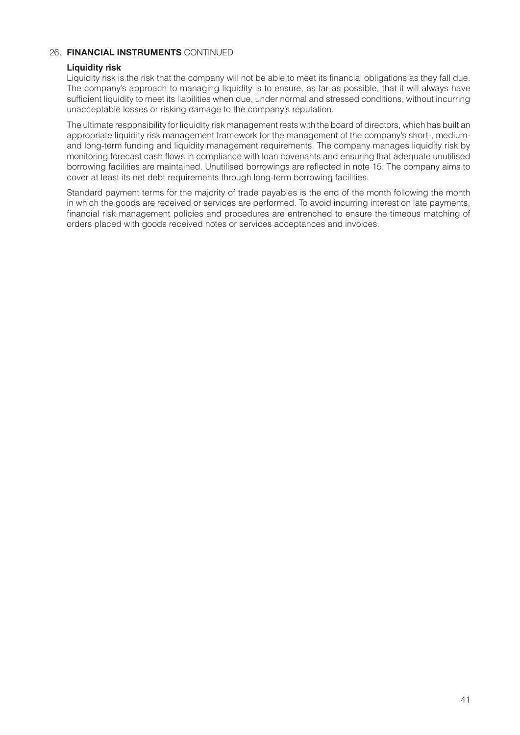# **Liquidity risk**

Liquidity risk is the risk that the company will not be able to meet its financial obligations as they fall due. The company's approach to managing liquidity is to ensure, as far as possible, that it will always have sufficient liquidity to meet its liabilities when due, under normal and stressed conditions, without incurring unacceptable losses or risking damage to the company's reputation.

The ultimate responsibility for liquidity risk management rests with the board of directors, which has built an appropriate liquidity risk management framework for the management of the company's short-, mediumand long-term funding and liquidity management requirements. The company manages liquidity risk by monitoring forecast cash flows in compliance with loan covenants and ensuring that adequate unutilised borrowing facilities are maintained. Unutilised borrowings are reflected in note 15. The company aims to cover at least its net debt requirements through long-term borrowing facilities.

Standard payment terms for the majority of trade payables is the end of the month following the month in which the goods are received or services are performed. To avoid incurring interest on late payments, financial risk management policies and procedures are entrenched to ensure the timeous matching of orders placed with goods received notes or services acceptances and invoices.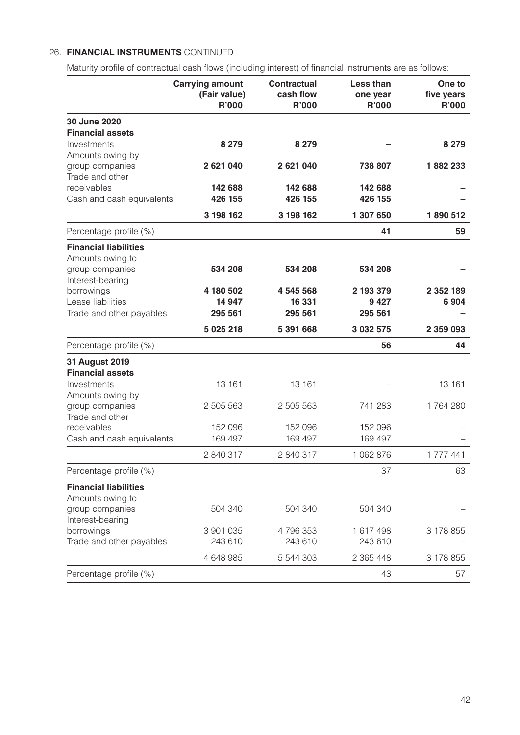Maturity profile of contractual cash flows (including interest) of financial instruments are as follows:

|                              | <b>Carrying amount</b><br>(Fair value)<br><b>R'000</b> | <b>Contractual</b><br>cash flow<br>R'000 | <b>Less than</b><br>one year<br>R'000 | One to<br>five years<br>R'000 |
|------------------------------|--------------------------------------------------------|------------------------------------------|---------------------------------------|-------------------------------|
| 30 June 2020                 |                                                        |                                          |                                       |                               |
| <b>Financial assets</b>      |                                                        |                                          |                                       |                               |
| Investments                  | 8 2 7 9                                                | 8 2 7 9                                  |                                       | 8 2 7 9                       |
| Amounts owing by             |                                                        |                                          |                                       |                               |
| group companies              | 2 621 040                                              | 2 621 040                                | 738 807                               | 1882233                       |
| Trade and other              |                                                        |                                          |                                       |                               |
| receivables                  | 142 688                                                | 142 688                                  | 142 688                               |                               |
| Cash and cash equivalents    | 426 155                                                | 426 155                                  | 426 155                               |                               |
|                              | 3 198 162                                              | 3 198 162                                | 1 307 650                             | 1890 512                      |
| Percentage profile (%)       |                                                        |                                          | 41                                    | 59                            |
| <b>Financial liabilities</b> |                                                        |                                          |                                       |                               |
| Amounts owing to             |                                                        |                                          |                                       |                               |
| group companies              | 534 208                                                | 534 208                                  | 534 208                               |                               |
| Interest-bearing             |                                                        |                                          |                                       |                               |
| borrowings                   | 4 180 502                                              | 4 545 568                                | 2 193 379                             | 2 352 189                     |
| Lease liabilities            | 14 947                                                 | 16 331                                   | 9 4 2 7                               | 6 9 0 4                       |
| Trade and other payables     | 295 561                                                | 295 561                                  | 295 561                               |                               |
|                              | 5 0 25 218                                             | 5 391 668                                | 3 032 575                             | 2 359 093                     |
| Percentage profile (%)       |                                                        |                                          | 56                                    | 44                            |
| 31 August 2019               |                                                        |                                          |                                       |                               |
| <b>Financial assets</b>      |                                                        |                                          |                                       |                               |
| Investments                  | 13 161                                                 | 13 161                                   |                                       | 13 161                        |
| Amounts owing by             |                                                        |                                          |                                       |                               |
| group companies              | 2 505 563                                              | 2 505 563                                | 741 283                               | 1764280                       |
| Trade and other              |                                                        |                                          |                                       |                               |
| receivables                  | 152 096                                                | 152 096                                  | 152 096                               |                               |
| Cash and cash equivalents    | 169 497                                                | 169 497                                  | 169 497                               |                               |
|                              | 2 840 317                                              | 2 840 317                                | 1 062 876                             | 1777441                       |
| Percentage profile (%)       |                                                        |                                          | 37                                    | 63                            |
| <b>Financial liabilities</b> |                                                        |                                          |                                       |                               |
| Amounts owing to             |                                                        |                                          |                                       |                               |
| group companies              | 504 340                                                | 504 340                                  | 504 340                               |                               |
| Interest-bearing             |                                                        |                                          |                                       |                               |
| borrowings                   | 3 901 035                                              | 4796353                                  | 1617498                               | 3 178 855                     |
| Trade and other payables     | 243 610                                                | 243 610                                  | 243 610                               |                               |
|                              | 4 648 985                                              | 5 544 303                                | 2 365 448                             | 3 178 855                     |
| Percentage profile (%)       |                                                        |                                          | 43                                    | 57                            |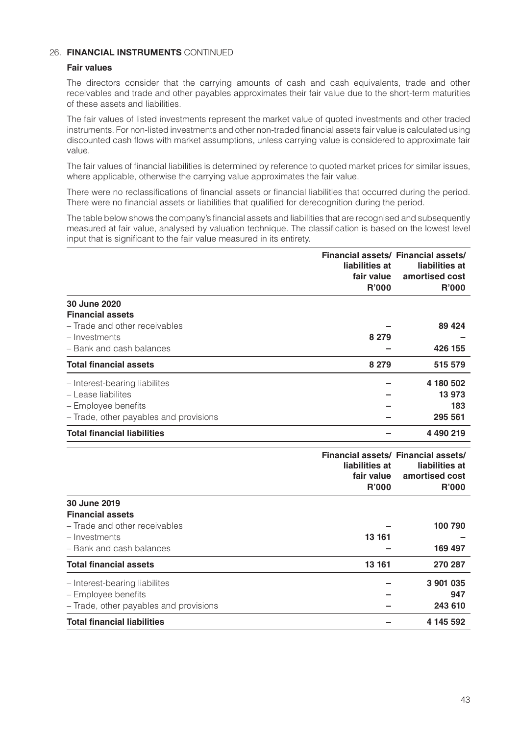#### **Fair values**

The directors consider that the carrying amounts of cash and cash equivalents, trade and other receivables and trade and other payables approximates their fair value due to the short-term maturities of these assets and liabilities.

The fair values of listed investments represent the market value of quoted investments and other traded instruments. For non-listed investments and other non-traded financial assets fair value is calculated using discounted cash flows with market assumptions, unless carrying value is considered to approximate fair value.

The fair values of financial liabilities is determined by reference to quoted market prices for similar issues, where applicable, otherwise the carrying value approximates the fair value.

There were no reclassifications of financial assets or financial liabilities that occurred during the period. There were no financial assets or liabilities that qualified for derecognition during the period.

The table below shows the company's financial assets and liabilities that are recognised and subsequently measured at fair value, analysed by valuation technique. The classification is based on the lowest level input that is significant to the fair value measured in its entirety.

|                                        | liabilities at<br>fair value<br><b>R'000</b> | Financial assets/ Financial assets/<br>liabilities at<br>amortised cost<br><b>R'000</b> |
|----------------------------------------|----------------------------------------------|-----------------------------------------------------------------------------------------|
| 30 June 2020                           |                                              |                                                                                         |
| <b>Financial assets</b>                |                                              |                                                                                         |
| - Trade and other receivables          |                                              | 89 4 24                                                                                 |
| - Investments                          | 8 2 7 9                                      |                                                                                         |
| - Bank and cash balances               |                                              | 426 155                                                                                 |
| <b>Total financial assets</b>          | 8 2 7 9                                      | 515 579                                                                                 |
| - Interest-bearing liabilites          |                                              | 4 180 502                                                                               |
| - Lease liabilites                     |                                              | 13 973                                                                                  |
| - Employee benefits                    |                                              | 183                                                                                     |
| - Trade, other payables and provisions |                                              | 295 561                                                                                 |
| <b>Total financial liabilities</b>     |                                              | 4 490 219                                                                               |

|                                        | liabilities at<br>fair value<br><b>R'000</b> | Financial assets/ Financial assets/<br>liabilities at<br>amortised cost<br><b>R'000</b> |
|----------------------------------------|----------------------------------------------|-----------------------------------------------------------------------------------------|
| 30 June 2019                           |                                              |                                                                                         |
| <b>Financial assets</b>                |                                              |                                                                                         |
| - Trade and other receivables          |                                              | 100 790                                                                                 |
| - Investments                          | 13 161                                       |                                                                                         |
| - Bank and cash balances               |                                              | 169 497                                                                                 |
| <b>Total financial assets</b>          | 13 161                                       | 270 287                                                                                 |
| - Interest-bearing liabilites          |                                              | 3 901 035                                                                               |
| - Employee benefits                    |                                              | 947                                                                                     |
| - Trade, other payables and provisions |                                              | 243 610                                                                                 |
| <b>Total financial liabilities</b>     |                                              | 4 145 592                                                                               |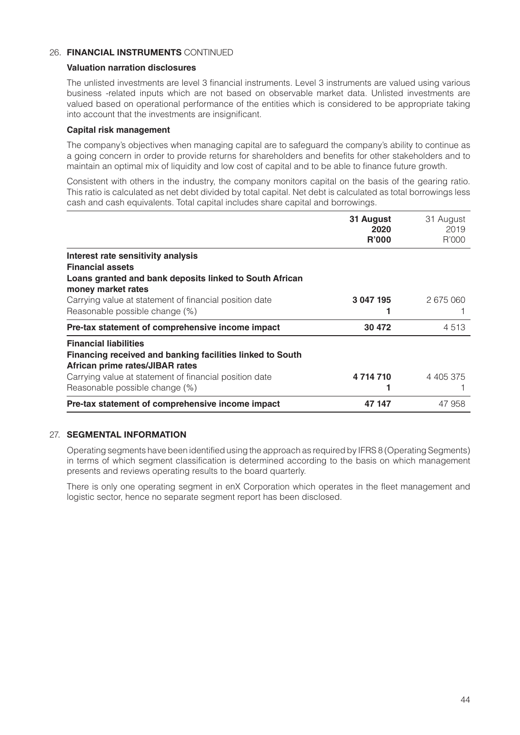### **Valuation narration disclosures**

The unlisted investments are level 3 financial instruments. Level 3 instruments are valued using various business -related inputs which are not based on observable market data. Unlisted investments are valued based on operational performance of the entities which is considered to be appropriate taking into account that the investments are insignificant.

#### **Capital risk management**

The company's objectives when managing capital are to safeguard the company's ability to continue as a going concern in order to provide returns for shareholders and benefits for other stakeholders and to maintain an optimal mix of liquidity and low cost of capital and to be able to finance future growth.

Consistent with others in the industry, the company monitors capital on the basis of the gearing ratio. This ratio is calculated as net debt divided by total capital. Net debt is calculated as total borrowings less cash and cash equivalents. Total capital includes share capital and borrowings.

|                                                                                                                                                                                                                          | 31 August<br>2020<br><b>R'000</b> | 31 August<br>2019<br>R'000 |
|--------------------------------------------------------------------------------------------------------------------------------------------------------------------------------------------------------------------------|-----------------------------------|----------------------------|
| Interest rate sensitivity analysis<br><b>Financial assets</b><br>Loans granted and bank deposits linked to South African                                                                                                 |                                   |                            |
| money market rates<br>Carrying value at statement of financial position date<br>Reasonable possible change (%)                                                                                                           | 3 047 195                         | 2675060                    |
| Pre-tax statement of comprehensive income impact                                                                                                                                                                         | 30 472                            | 4513                       |
| <b>Financial liabilities</b><br>Financing received and banking facilities linked to South<br>African prime rates/JIBAR rates<br>Carrying value at statement of financial position date<br>Reasonable possible change (%) | 4 714 710                         | 4 405 375                  |
| Pre-tax statement of comprehensive income impact                                                                                                                                                                         | 47 147                            | 47 958                     |

# 27. SEGMENTAL INFORMATION

Operating segments have been identified using the approach as required by IFRS 8 (Operating Segments) in terms of which segment classification is determined according to the basis on which management presents and reviews operating results to the board quarterly.

There is only one operating segment in enX Corporation which operates in the fleet management and logistic sector, hence no separate segment report has been disclosed.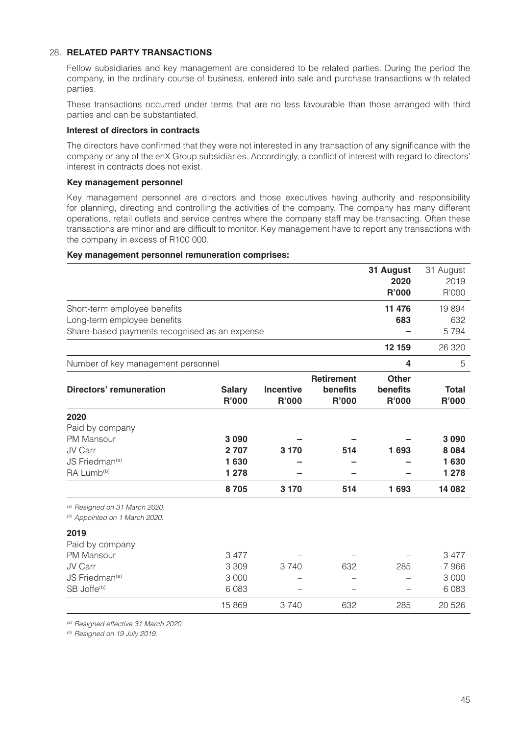#### 28. RELATED PARTY TRANSACTIONS

Fellow subsidiaries and key management are considered to be related parties. During the period the company, in the ordinary course of business, entered into sale and purchase transactions with related parties.

These transactions occurred under terms that are no less favourable than those arranged with third parties and can be substantiated.

#### **Interest of directors in contracts**

The directors have confirmed that they were not interested in any transaction of any significance with the company or any of the enX Group subsidiaries. Accordingly, a conflict of interest with regard to directors' interest in contracts does not exist.

#### **Key management personnel**

Key management personnel are directors and those executives having authority and responsibility for planning, directing and controlling the activities of the company. The company has many different operations, retail outlets and service centres where the company staff may be transacting. Often these transactions are minor and are difficult to monitor. Key management have to report any transactions with the company in excess of R100 000.

#### **Key management personnel remuneration comprises:**

|                                                                                                                  |                                            |                      |                                               | 31 August<br>2020<br>R'000        | 31 August<br>2019<br>R'000                      |
|------------------------------------------------------------------------------------------------------------------|--------------------------------------------|----------------------|-----------------------------------------------|-----------------------------------|-------------------------------------------------|
| Short-term employee benefits<br>Long-term employee benefits<br>Share-based payments recognised as an expense     | 11 476<br>683                              | 19894<br>632<br>5794 |                                               |                                   |                                                 |
|                                                                                                                  |                                            |                      |                                               | 12 159                            | 26 320                                          |
| Number of key management personnel                                                                               |                                            |                      |                                               | 4                                 | 5                                               |
| <b>Directors' remuneration</b>                                                                                   | <b>Salary</b><br>R'000                     | Incentive<br>R'000   | <b>Retirement</b><br>benefits<br><b>R'000</b> | <b>Other</b><br>benefits<br>R'000 | <b>Total</b><br>R'000                           |
| 2020<br>Paid by company<br>PM Mansour<br>JV Carr<br>JS Friedman <sup>(a)</sup><br>RA Lumb <sup>(b)</sup>         | 3 0 9 0<br>2707<br>1630<br>1 2 7 8<br>8705 | 3 1 7 0<br>3 170     | 514<br>514                                    | 1693<br>1693                      | 3 0 9 0<br>8 0 8 4<br>1630<br>1 2 7 8<br>14 082 |
| (a) Resigned on 31 March 2020.<br>(b) Appointed on 1 March 2020.                                                 |                                            |                      |                                               |                                   |                                                 |
| 2019<br>Paid by company<br>PM Mansour<br><b>JV Carr</b><br>JS Friedman <sup>(a)</sup><br>SB Joffe <sup>(b)</sup> | 3 4 7 7<br>3 3 0 9<br>3 0 0 0<br>6 0 8 3   | 3 7 4 0              | 632                                           | 285                               | 3 4 7 7<br>7966<br>3 0 0 0<br>6 0 8 3           |
|                                                                                                                  | 15 869                                     | 3740                 | 632                                           | 285                               | 20 5 26                                         |

*(a) Resigned effective 31 March 2020.*

*(b) Resigned on 19 July 2019.*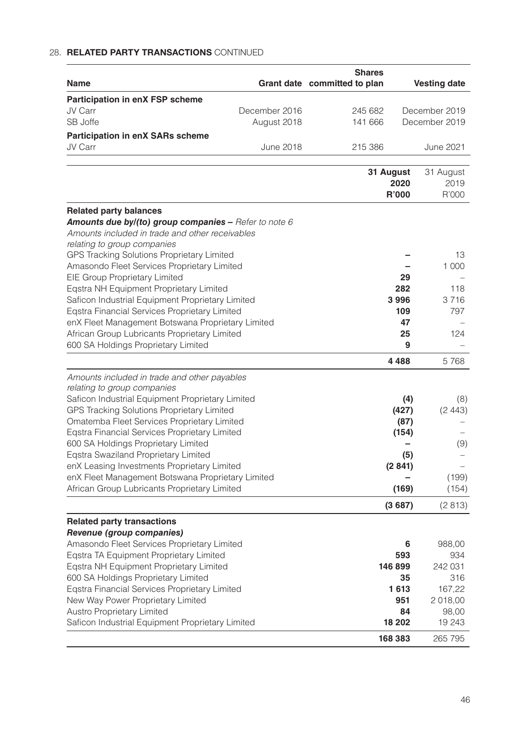# 28. RELATED PARTY TRANSACTIONS CONTINUED

| <b>Name</b>                                                                                  | <b>Shares</b><br>Grant date committed to plan |               | <b>Vesting date</b> |
|----------------------------------------------------------------------------------------------|-----------------------------------------------|---------------|---------------------|
| <b>Participation in enX FSP scheme</b>                                                       |                                               |               |                     |
| JV Carr<br>December 2016                                                                     | 245 682                                       |               | December 2019       |
| SB Joffe<br>August 2018                                                                      | 141 666                                       |               | December 2019       |
| <b>Participation in enX SARs scheme</b>                                                      |                                               |               |                     |
| <b>JV Carr</b><br><b>June 2018</b>                                                           | 215 386                                       |               | <b>June 2021</b>    |
|                                                                                              |                                               |               |                     |
|                                                                                              |                                               | 31 August     | 31 August           |
|                                                                                              |                                               | 2020          | 2019                |
|                                                                                              |                                               | <b>R'000</b>  | R'000               |
| <b>Related party balances</b>                                                                |                                               |               |                     |
| Amounts due by/(to) group companies - Refer to note 6                                        |                                               |               |                     |
| Amounts included in trade and other receivables                                              |                                               |               |                     |
| relating to group companies                                                                  |                                               |               |                     |
| GPS Tracking Solutions Proprietary Limited                                                   |                                               |               | 13                  |
| Amasondo Fleet Services Proprietary Limited                                                  |                                               |               | 1 0 0 0             |
| <b>EIE Group Proprietary Limited</b>                                                         |                                               | 29            |                     |
| Eqstra NH Equipment Proprietary Limited                                                      |                                               | 282           | 118                 |
| Saficon Industrial Equipment Proprietary Limited                                             |                                               | 3996          | 3716                |
| Eqstra Financial Services Proprietary Limited                                                |                                               | 109           | 797                 |
| enX Fleet Management Botswana Proprietary Limited                                            |                                               | 47            |                     |
| African Group Lubricants Proprietary Limited                                                 |                                               | 25            | 124                 |
| 600 SA Holdings Proprietary Limited                                                          |                                               | 9             |                     |
|                                                                                              |                                               | 4 4 8 8       | 5768                |
| Amounts included in trade and other payables                                                 |                                               |               |                     |
| relating to group companies                                                                  |                                               |               |                     |
| Saficon Industrial Equipment Proprietary Limited                                             |                                               | (4)           | (8)                 |
| GPS Tracking Solutions Proprietary Limited                                                   |                                               | (427)         | (2443)              |
| Omatemba Fleet Services Proprietary Limited<br>Eqstra Financial Services Proprietary Limited |                                               | (87)<br>(154) |                     |
| 600 SA Holdings Proprietary Limited                                                          |                                               |               | (9)                 |
| Eqstra Swaziland Proprietary Limited                                                         |                                               | (5)           |                     |
| enX Leasing Investments Proprietary Limited                                                  |                                               | (2841)        |                     |
| enX Fleet Management Botswana Proprietary Limited                                            |                                               |               | (199)               |
| African Group Lubricants Proprietary Limited                                                 |                                               | (169)         | (154)               |
|                                                                                              |                                               | (3687)        | (2813)              |
| <b>Related party transactions</b>                                                            |                                               |               |                     |
| Revenue (group companies)                                                                    |                                               |               |                     |
| Amasondo Fleet Services Proprietary Limited                                                  |                                               | 6             | 988,00              |
| Eqstra TA Equipment Proprietary Limited                                                      |                                               | 593           | 934                 |
| Eqstra NH Equipment Proprietary Limited                                                      |                                               | 146 899       | 242 031             |
| 600 SA Holdings Proprietary Limited                                                          |                                               | 35            | 316                 |
| Eqstra Financial Services Proprietary Limited                                                |                                               | 1613          | 167,22              |
| New Way Power Proprietary Limited                                                            |                                               | 951           | 2 018,00            |
| Austro Proprietary Limited                                                                   |                                               | 84            | 98,00               |
| Saficon Industrial Equipment Proprietary Limited                                             |                                               | 18 20 2       | 19 243              |
|                                                                                              |                                               | 168 383       | 265 795             |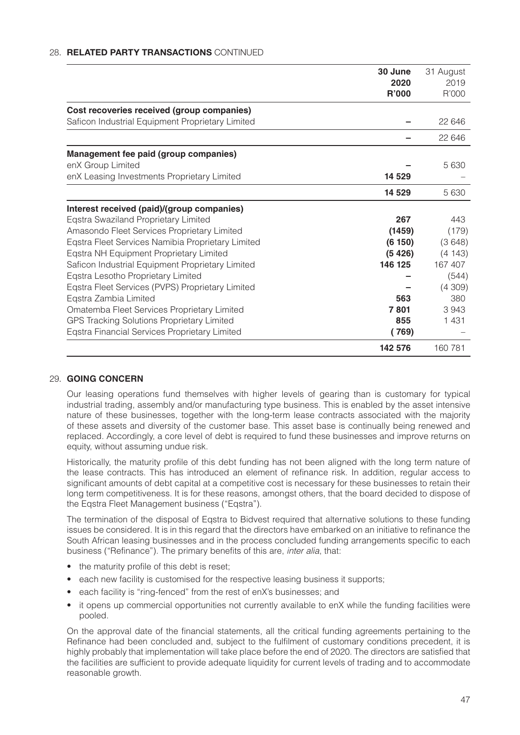# 28. RELATED PARTY TRANSACTIONS CONTINUED

|                                                   | 30 June              | 31 August     |
|---------------------------------------------------|----------------------|---------------|
|                                                   | 2020<br><b>R'000</b> | 2019<br>R'000 |
|                                                   |                      |               |
| Cost recoveries received (group companies)        |                      |               |
| Saficon Industrial Equipment Proprietary Limited  |                      | 22 646        |
|                                                   |                      | 22 646        |
| <b>Management fee paid (group companies)</b>      |                      |               |
| enX Group Limited                                 |                      | 5 6 3 0       |
| enX Leasing Investments Proprietary Limited       | 14 529               |               |
|                                                   | 14 529               | 5 6 3 0       |
| Interest received (paid)/(group companies)        |                      |               |
| Eqstra Swaziland Proprietary Limited              | 267                  | 443           |
| Amasondo Fleet Services Proprietary Limited       | (1459)               | (179)         |
| Egstra Fleet Services Namibia Proprietary Limited | (6150)               | (3648)        |
| Egstra NH Equipment Proprietary Limited           | (5426)               | (4143)        |
| Saficon Industrial Equipment Proprietary Limited  | 146 125              | 167 407       |
| Eqstra Lesotho Proprietary Limited                |                      | (544)         |
| Egstra Fleet Services (PVPS) Proprietary Limited  |                      | (4309)        |
| Eqstra Zambia Limited                             | 563                  | 380           |
| Omatemba Fleet Services Proprietary Limited       | 7801                 | 3.943         |
| <b>GPS Tracking Solutions Proprietary Limited</b> | 855                  | 1431          |
| Eqstra Financial Services Proprietary Limited     | (769)                |               |
|                                                   | 142 576              | 160 781       |

### 29. **GOING CONCERN**

Our leasing operations fund themselves with higher levels of gearing than is customary for typical industrial trading, assembly and/or manufacturing type business. This is enabled by the asset intensive nature of these businesses, together with the long-term lease contracts associated with the majority of these assets and diversity of the customer base. This asset base is continually being renewed and replaced. Accordingly, a core level of debt is required to fund these businesses and improve returns on equity, without assuming undue risk.

Historically, the maturity profile of this debt funding has not been aligned with the long term nature of the lease contracts. This has introduced an element of refinance risk. In addition, regular access to significant amounts of debt capital at a competitive cost is necessary for these businesses to retain their long term competitiveness. It is for these reasons, amongst others, that the board decided to dispose of the Eqstra Fleet Management business ("Eqstra").

The termination of the disposal of Egstra to Bidvest required that alternative solutions to these funding issues be considered. It is in this regard that the directors have embarked on an initiative to refinance the South African leasing businesses and in the process concluded funding arrangements specific to each business ("Refinance"). The primary benefits of this are, *inter alia*, that:

- the maturity profile of this debt is reset;
- each new facility is customised for the respective leasing business it supports;
- each facility is "ring-fenced" from the rest of enX's businesses; and
- it opens up commercial opportunities not currently available to enX while the funding facilities were pooled.

On the approval date of the financial statements, all the critical funding agreements pertaining to the Refinance had been concluded and, subject to the fulfilment of customary conditions precedent, it is highly probably that implementation will take place before the end of 2020. The directors are satisfied that the facilities are sufficient to provide adequate liquidity for current levels of trading and to accommodate reasonable growth.